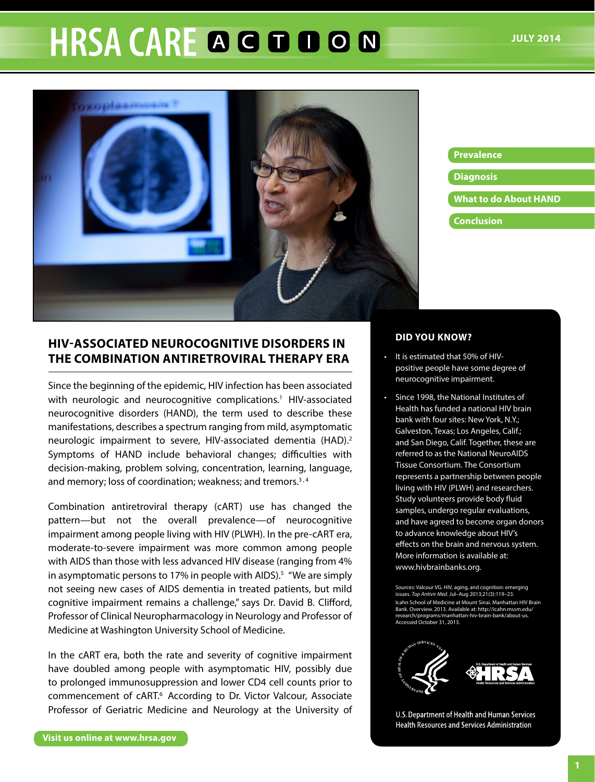# **HRSA CARE A G D D O N**



#### **Prevalence**

- **Diagnosis**
- **What to do About HAND**
- **Conclusion**

# **HIV-Associated Neurocognitive Disorders in the Combination Antiretroviral Therapy Era**

Since the beginning of the epidemic, HIV infection has been associated with neurologic and neurocognitive complications.<sup>1</sup> HIV-associated neurocognitive disorders (HAND), the term used to describe these manifestations, describes a spectrum ranging from mild, asymptomatic neurologic impairment to severe, HIV-associated dementia (HAD).<sup>2</sup> Symptoms of HAND include behavioral changes; difficulties with decision-making, problem solving, concentration, learning, language, and memory; loss of coordination; weakness; and tremors.<sup>3,4</sup>

Combination antiretroviral therapy (cART) use has changed the pattern—but not the overall prevalence—of neurocognitive impairment among people living with HIV (PLWH). In the pre-cART era, moderate-to-severe impairment was more common among people with AIDS than those with less advanced HIV disease (ranging from 4% in asymptomatic persons to 17% in people with AIDS).<sup>5</sup> "We are simply not seeing new cases of AIDS dementia in treated patients, but mild cognitive impairment remains a challenge," says Dr. David B. Clifford, Professor of Clinical Neuropharmacology in Neurology and Professor of Medicine at Washington University School of Medicine.

In the cART era, both the rate and severity of cognitive impairment have doubled among people with asymptomatic HIV, possibly due to prolonged immunosuppression and lower CD4 cell counts prior to commencement of cART.6 According to Dr. Victor Valcour, Associate Professor of Geriatric Medicine and Neurology at the University of

#### **DID YOU KNOW?**

- • It is estimated that 50% of HIVpositive people have some degree of neurocognitive impairment.
- • Since 1998, the National Institutes of Health has funded a national HIV brain bank with four sites: New York, N.Y.; Galveston, Texas; Los Angeles, Calif.; and San Diego, Calif. Together, these are referred to as the National NeuroAIDS Tissue Consortium. The Consortium represents a partnership between people living with HIV (PLWH) and researchers. Study volunteers provide body fluid samples, undergo regular evaluations, and have agreed to become organ donors to advance knowledge about HIV's effects on the brain and nervous system. More information is available at: www.hivbrainbanks.org.

Sources: Valcour VG. HIV, aging, and cognition: emerging issues. *Top Antivir Med*. Jul–Aug 2013;21(3):119–23. Icahn School of Medicine at Mount Sinai. Manhattan HIV Brain Bank. Overview. 2013. Available at: http://icahn.mssm.edu/ [research/programs/manhattan-hiv-brain-bank/about-us.](http://icahn.mssm.edu/research/programs/manhattan-hiv-brain-bank/about-us) Accessed October 31, 2013.



U.S. Department of Health and Human Services **Health Resources and Services Administration**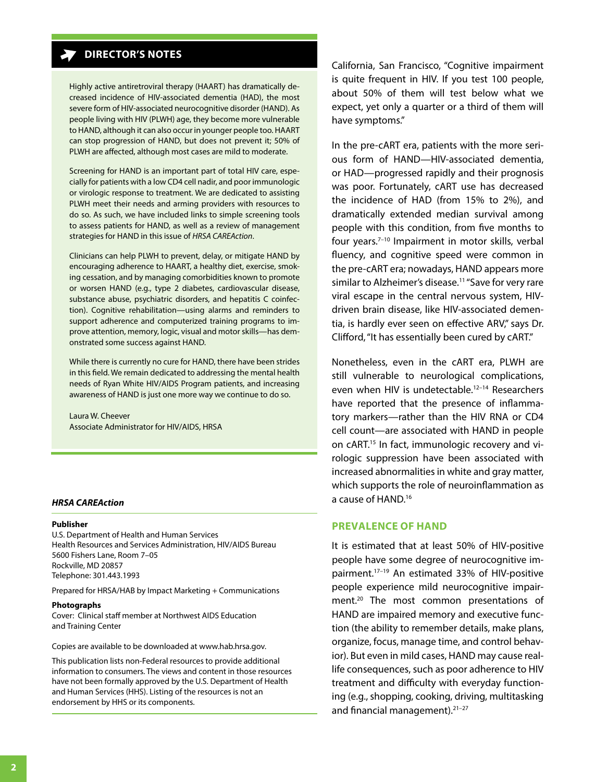## **DIRECTOR'S NOTES**

Highly active antiretroviral therapy (HAART) has dramatically decreased incidence of HIV-associated dementia (HAD), the most severe form of HIV-associated neurocognitive disorder (HAND). As people living with HIV (PLWH) age, they become more vulnerable to HAND, although it can also occur in younger people too. HAART can stop progression of HAND, but does not prevent it; 50% of PLWH are affected, although most cases are mild to moderate.

Screening for HAND is an important part of total HIV care, especially for patients with a low CD4 cell nadir, and poor immunologic or virologic response to treatment. We are dedicated to assisting PLWH meet their needs and arming providers with resources to do so. As such, we have included links to simple screening tools to assess patients for HAND, as well as a review of management strategies for HAND in this issue of *HRSA CAREAction*.

Clinicians can help PLWH to prevent, delay, or mitigate HAND by encouraging adherence to HAART, a healthy diet, exercise, smoking cessation, and by managing comorbidities known to promote or worsen HAND (e.g., type 2 diabetes, cardiovascular disease, substance abuse, psychiatric disorders, and hepatitis C coinfection). Cognitive rehabilitation—using alarms and reminders to support adherence and computerized training programs to improve attention, memory, logic, visual and motor skills—has demonstrated some success against HAND.

While there is currently no cure for HAND, there have been strides in this field. We remain dedicated to addressing the mental health needs of Ryan White HIV/AIDS Program patients, and increasing awareness of HAND is just one more way we continue to do so.

Laura W. Cheever Associate Administrator for HIV/AIDS, HRSA

#### *HRSA CAREAction*

#### **Publisher**

U.S. Department of Health and Human Services Health Resources and Services Administration, HIV/AIDS Bureau 5600 Fishers Lane, Room 7–05 Rockville, MD 20857 Telephone: 301.443.1993

Prepared for HRSA/HAB by Impact Marketing + Communications

#### **Photographs**

Cover: Clinical staff member at Northwest AIDS Education and Training Center

Copies are available to be downloaded at<www.hab.hrsa.gov>.

This publication lists non-Federal resources to provide additional information to consumers. The views and content in those resources have not been formally approved by the U.S. Department of Health and Human Services (HHS). Listing of the resources is not an endorsement by HHS or its components.

California, San Francisco, "Cognitive impairment is quite frequent in HIV. If you test 100 people, about 50% of them will test below what we expect, yet only a quarter or a third of them will have symptoms."

In the pre-cART era, patients with the more serious form of HAND—HIV-associated dementia, or HAD—progressed rapidly and their prognosis was poor. Fortunately, cART use has decreased the incidence of HAD (from 15% to 2%), and dramatically extended median survival among people with this condition, from five months to four years.7–10 Impairment in motor skills, verbal fluency, and cognitive speed were common in the pre-cART era; nowadays, HAND appears more similar to Alzheimer's disease.<sup>11</sup> "Save for very rare viral escape in the central nervous system, HIVdriven brain disease, like HIV-associated dementia, is hardly ever seen on effective ARV," says Dr. Clifford, "It has essentially been cured by cART."

Nonetheless, even in the cART era, PLWH are still vulnerable to neurological complications, even when HIV is undetectable.<sup>12-14</sup> Researchers have reported that the presence of inflammatory markers—rather than the HIV RNA or CD4 cell count—are associated with HAND in people on cART.15 In fact, immunologic recovery and virologic suppression have been associated with increased abnormalities in white and gray matter, which supports the role of neuroinflammation as a cause of HAND.16

### **Prevalence of HAND**

It is estimated that at least 50% of HIV-positive people have some degree of neurocognitive impairment.17–19 An estimated 33% of HIV-positive people experience mild neurocognitive impairment.<sup>20</sup> The most common presentations of HAND are impaired memory and executive function (the ability to remember details, make plans, organize, focus, manage time, and control behavior). But even in mild cases, HAND may cause reallife consequences, such as poor adherence to HIV treatment and difficulty with everyday functioning (e.g., shopping, cooking, driving, multitasking and financial management).<sup>21-27</sup>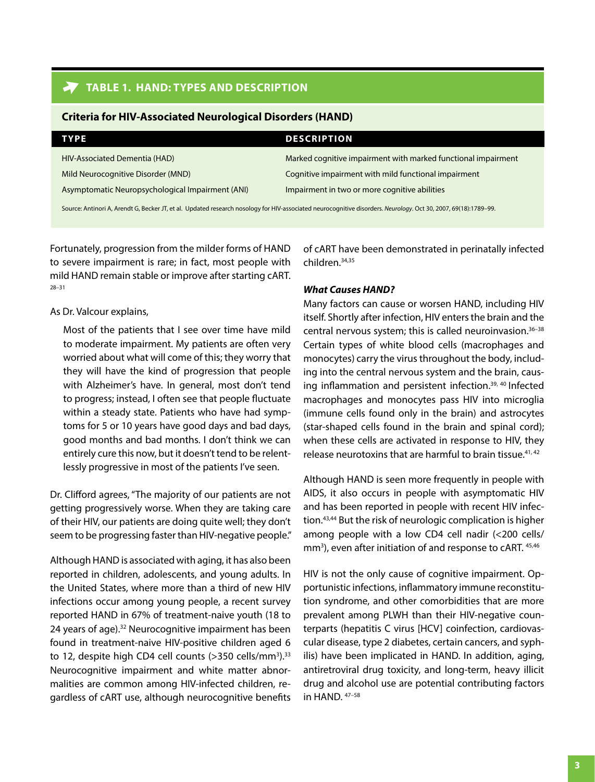## **Table 1. HAND: Types and Description**

| CHICHA IVI IIIV-ASSUCIALED INEDIVIUDICAL DISULUEI S (HAIND) |                                                               |  |  |  |
|-------------------------------------------------------------|---------------------------------------------------------------|--|--|--|
| <b>TYPE</b>                                                 | <b>DESCRIPTION</b>                                            |  |  |  |
| HIV-Associated Dementia (HAD)                               | Marked cognitive impairment with marked functional impairment |  |  |  |
| Mild Neurocognitive Disorder (MND)                          | Cognitive impairment with mild functional impairment          |  |  |  |
| Asymptomatic Neuropsychological Impairment (ANI)            | Impairment in two or more cognitive abilities                 |  |  |  |
|                                                             |                                                               |  |  |  |

**Criteria for HIV-Associated Neurological Disorders (HAND)**

Source: Antinori A, Arendt G, Becker JT, et al. Updated research nosology for HIV-associated neurocognitive disorders. *Neurology*. Oct 30, 2007, 69(18):1789–99.

Fortunately, progression from the milder forms of HAND to severe impairment is rare; in fact, most people with mild HAND remain stable or improve after starting cART. 28–31

## As Dr. Valcour explains,

Most of the patients that I see over time have mild to moderate impairment. My patients are often very worried about what will come of this; they worry that they will have the kind of progression that people with Alzheimer's have. In general, most don't tend to progress; instead, I often see that people fluctuate within a steady state. Patients who have had symptoms for 5 or 10 years have good days and bad days, good months and bad months. I don't think we can entirely cure this now, but it doesn't tend to be relentlessly progressive in most of the patients I've seen.

Dr. Clifford agrees, "The majority of our patients are not getting progressively worse. When they are taking care of their HIV, our patients are doing quite well; they don't seem to be progressing faster than HIV-negative people."

Although HAND is associated with aging, it has also been reported in children, adolescents, and young adults. In the United States, where more than a third of new HIV infections occur among young people, a recent survey reported HAND in 67% of treatment-naive youth (18 to 24 years of age).<sup>32</sup> Neurocognitive impairment has been found in treatment-naive HIV-positive children aged 6 to 12, despite high CD4 cell counts (>350 cells/mm<sup>3</sup>).<sup>33</sup> Neurocognitive impairment and white matter abnormalities are common among HIV-infected children, regardless of cART use, although neurocognitive benefits of cART have been demonstrated in perinatally infected children.34,35

## *What Causes HAND?*

Many factors can cause or worsen HAND, including HIV itself. Shortly after infection, HIV enters the brain and the central nervous system; this is called neuroinvasion.36–38 Certain types of white blood cells (macrophages and monocytes) carry the virus throughout the body, including into the central nervous system and the brain, causing inflammation and persistent infection.<sup>39, 40</sup> Infected macrophages and monocytes pass HIV into microglia (immune cells found only in the brain) and astrocytes (star-shaped cells found in the brain and spinal cord); when these cells are activated in response to HIV, they release neurotoxins that are harmful to brain tissue. $41, 42$ 

Although HAND is seen more frequently in people with AIDS, it also occurs in people with asymptomatic HIV and has been reported in people with recent HIV infection.43,44 But the risk of neurologic complication is higher among people with a low CD4 cell nadir (<200 cells/ mm<sup>3</sup>), even after initiation of and response to cART. 45,46

HIV is not the only cause of cognitive impairment. Opportunistic infections, inflammatory immune reconstitution syndrome, and other comorbidities that are more prevalent among PLWH than their HIV-negative counterparts (hepatitis C virus [HCV] coinfection, cardiovascular disease, type 2 diabetes, certain cancers, and syphilis) have been implicated in HAND. In addition, aging, antiretroviral drug toxicity, and long-term, heavy illicit drug and alcohol use are potential contributing factors in HAND. 47–58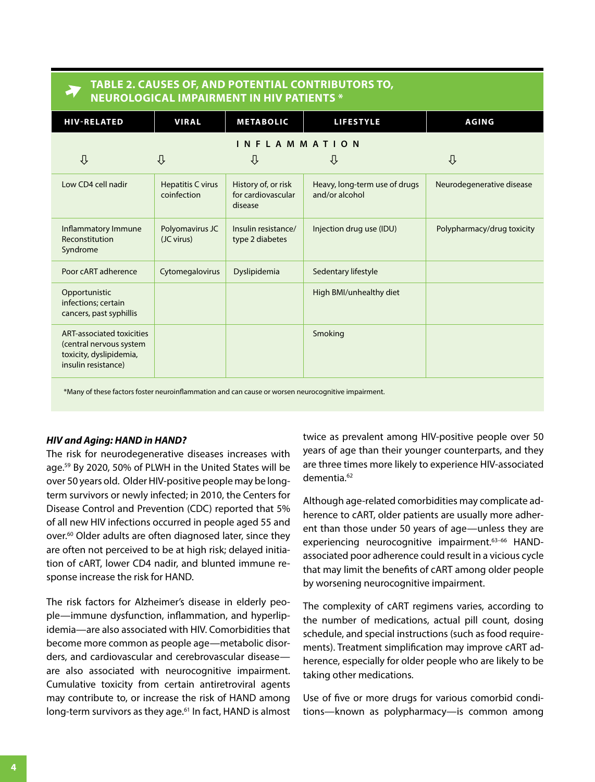**Table 2. Causes of, and Potential Contributors to, Neurological Impairment in HIV Patients \***

| <b>HIV-RELATED</b>                                                                                     | <b>VIRAL</b>                     | <b>METABOLIC</b>                                     | <b>LIFESTYLE</b>                                | <b>AGING</b>               |  |  |  |  |
|--------------------------------------------------------------------------------------------------------|----------------------------------|------------------------------------------------------|-------------------------------------------------|----------------------------|--|--|--|--|
| INFLAMMATION                                                                                           |                                  |                                                      |                                                 |                            |  |  |  |  |
| ⇩                                                                                                      | ⇩                                | ⇩                                                    | ⇩                                               | ⇩                          |  |  |  |  |
| Low CD4 cell nadir                                                                                     | Hepatitis C virus<br>coinfection | History of, or risk<br>for cardiovascular<br>disease | Heavy, long-term use of drugs<br>and/or alcohol | Neurodegenerative disease  |  |  |  |  |
| Inflammatory Immune<br>Reconstitution<br>Syndrome                                                      | Polyomavirus JC<br>(JC virus)    | Insulin resistance/<br>type 2 diabetes               | Injection drug use (IDU)                        | Polypharmacy/drug toxicity |  |  |  |  |
| Poor cART adherence                                                                                    | Cytomegalovirus                  | Dyslipidemia                                         | Sedentary lifestyle                             |                            |  |  |  |  |
| Opportunistic<br>infections; certain<br>cancers, past syphillis                                        |                                  |                                                      | High BMI/unhealthy diet                         |                            |  |  |  |  |
| ART-associated toxicities<br>(central nervous system<br>toxicity, dyslipidemia,<br>insulin resistance) |                                  |                                                      | Smoking                                         |                            |  |  |  |  |
| *Many of these factors foster neuroinflammation and can cause or worsen neurocognitive impairment.     |                                  |                                                      |                                                 |                            |  |  |  |  |

#### *HIV and Aging: HAND in HAND?*

The risk for neurodegenerative diseases increases with age.<sup>59</sup> By 2020, 50% of PLWH in the United States will be over 50 years old. Older HIV-positive people may be longterm survivors or newly infected; in 2010, the Centers for Disease Control and Prevention (CDC) reported that 5% of all new HIV infections occurred in people aged 55 and over.<sup>60</sup> Older adults are often diagnosed later, since they are often not perceived to be at high risk; delayed initiation of cART, lower CD4 nadir, and blunted immune response increase the risk for HAND.

The risk factors for Alzheimer's disease in elderly people—immune dysfunction, inflammation, and hyperlipidemia—are also associated with HIV. Comorbidities that become more common as people age—metabolic disorders, and cardiovascular and cerebrovascular disease are also associated with neurocognitive impairment. Cumulative toxicity from certain antiretroviral agents may contribute to, or increase the risk of HAND among long-term survivors as they age.<sup>61</sup> In fact, HAND is almost twice as prevalent among HIV-positive people over 50 years of age than their younger counterparts, and they are three times more likely to experience HIV-associated dementia.<sup>62</sup>

Although age-related comorbidities may complicate adherence to cART, older patients are usually more adherent than those under 50 years of age—unless they are experiencing neurocognitive impairment.<sup>63-66</sup> HANDassociated poor adherence could result in a vicious cycle that may limit the benefits of cART among older people by worsening neurocognitive impairment.

The complexity of cART regimens varies, according to the number of medications, actual pill count, dosing schedule, and special instructions (such as food requirements). Treatment simplification may improve cART adherence, especially for older people who are likely to be taking other medications.

Use of five or more drugs for various comorbid conditions—known as polypharmacy—is common among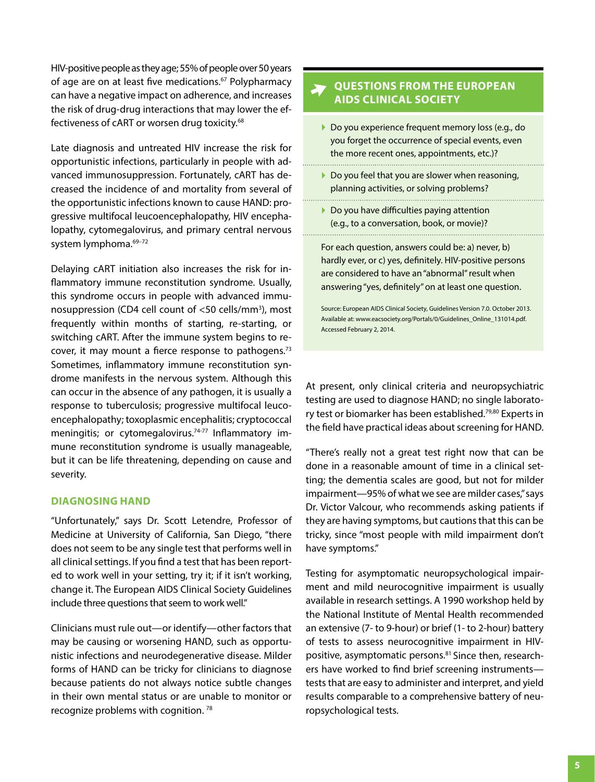HIV-positive people as they age; 55% of people over 50 years of age are on at least five medications.<sup>67</sup> Polypharmacy can have a negative impact on adherence, and increases the risk of drug-drug interactions that may lower the effectiveness of cART or worsen drug toxicity.<sup>68</sup>

Late diagnosis and untreated HIV increase the risk for opportunistic infections, particularly in people with advanced immunosuppression. Fortunately, cART has decreased the incidence of and mortality from several of the opportunistic infections known to cause HAND: progressive multifocal leucoencephalopathy, HIV encephalopathy, cytomegalovirus, and primary central nervous system lymphoma.<sup>69-72</sup>

Delaying cART initiation also increases the risk for inflammatory immune reconstitution syndrome. Usually, this syndrome occurs in people with advanced immunosuppression (CD4 cell count of <50 cells/mm<sup>3</sup>), most frequently within months of starting, re-starting, or switching cART. After the immune system begins to recover, it may mount a fierce response to pathogens.<sup>73</sup> Sometimes, inflammatory immune reconstitution syndrome manifests in the nervous system. Although this can occur in the absence of any pathogen, it is usually a response to tuberculosis; progressive multifocal leucoencephalopathy; toxoplasmic encephalitis; cryptococcal meningitis; or cytomegalovirus.<sup>74-77</sup> Inflammatory immune reconstitution syndrome is usually manageable, but it can be life threatening, depending on cause and severity.

#### **Diagnosing HAND**

"Unfortunately," says Dr. Scott Letendre, Professor of Medicine at University of California, San Diego, "there does not seem to be any single test that performs well in all clinical settings. If you find a test that has been reported to work well in your setting, try it; if it isn't working, change it. The European AIDS Clinical Society Guidelines include three questions that seem to work well."

Clinicians must rule out—or identify—other factors that may be causing or worsening HAND, such as opportunistic infections and neurodegenerative disease. Milder forms of HAND can be tricky for clinicians to diagnose because patients do not always notice subtle changes in their own mental status or are unable to monitor or recognize problems with cognition. <sup>78</sup>

## **Questions from the European AIDS Clinical Society**

- ▶ Do you experience frequent memory loss (e.g., do you forget the occurrence of special events, even the more recent ones, appointments, etc.)?
- ▶ Do you feel that you are slower when reasoning, planning activities, or solving problems?

▶ Do you have difficulties paying attention (e.g., to a conversation, book, or movie)?

For each question, answers could be: a) never, b) hardly ever, or c) yes, definitely. HIV-positive persons are considered to have an "abnormal" result when answering "yes, definitely" on at least one question.

Source: European AIDS Clinical Society, Guidelines Version 7.0. October 2013. Available at: www.eacsociety.org/Portals/0/Guidelines\_Online\_131014.pdf. Accessed February 2, 2014.

At present, only clinical criteria and neuropsychiatric testing are used to diagnose HAND; no single laboratory test or biomarker has been established.79,80 Experts in the field have practical ideas about screening for HAND.

"There's really not a great test right now that can be done in a reasonable amount of time in a clinical setting; the dementia scales are good, but not for milder impairment—95% of what we see are milder cases,"says Dr. Victor Valcour, who recommends asking patients if they are having symptoms, but cautions that this can be tricky, since "most people with mild impairment don't have symptoms."

Testing for asymptomatic neuropsychological impairment and mild neurocognitive impairment is usually available in research settings. A 1990 workshop held by the National Institute of Mental Health recommended an extensive (7- to 9-hour) or brief (1- to 2-hour) battery of tests to assess neurocognitive impairment in HIVpositive, asymptomatic persons.<sup>81</sup> Since then, researchers have worked to find brief screening instruments tests that are easy to administer and interpret, and yield results comparable to a comprehensive battery of neuropsychological tests.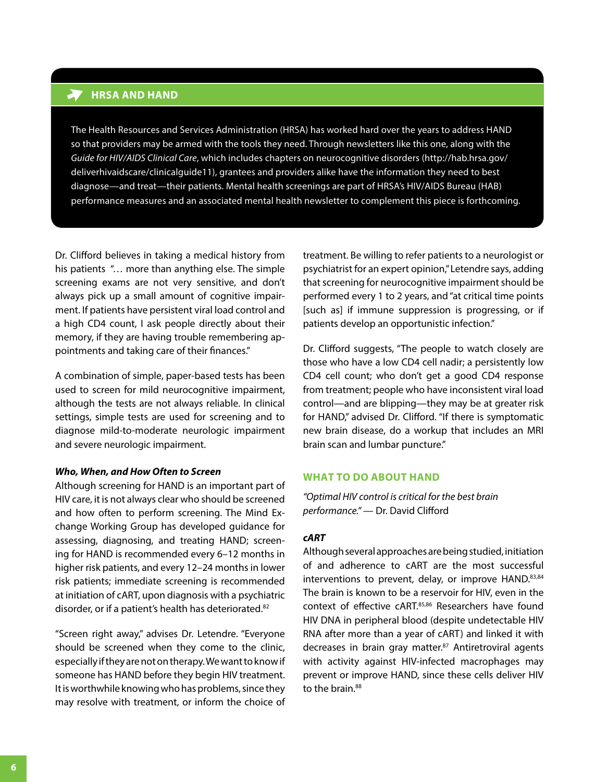## **HRSA AND HAND**

The Health Resources and Services Administration (HRSA) has worked hard over the years to address HAND so that providers may be armed with the tools they need. Through newsletters like this one, along with the *Guide for HIV/AIDS Clinical Care*, which includes chapters on neurocognitive disorders (http://hab.hrsa.gov/ deliverhivaidscare/clinicalguide11), grantees and providers alike have the information they need to best diagnose—and treat—their patients. Mental health screenings are part of HRSA's HIV/AIDS Bureau (HAB) performance measures and an associated mental health newsletter to complement this piece is forthcoming.

Dr. Clifford believes in taking a medical history from his patients "… more than anything else. The simple screening exams are not very sensitive, and don't always pick up a small amount of cognitive impairment. If patients have persistent viral load control and a high CD4 count, I ask people directly about their memory, if they are having trouble remembering appointments and taking care of their finances."

A combination of simple, paper-based tests has been used to screen for mild neurocognitive impairment, although the tests are not always reliable. In clinical settings, simple tests are used for screening and to diagnose mild-to-moderate neurologic impairment and severe neurologic impairment.

#### *Who, When, and How Often to Screen*

Although screening for HAND is an important part of HIV care, it is not always clear who should be screened and how often to perform screening. The Mind Exchange Working Group has developed guidance for assessing, diagnosing, and treating HAND; screening for HAND is recommended every 6–12 months in higher risk patients, and every 12–24 months in lower risk patients; immediate screening is recommended at initiation of cART, upon diagnosis with a psychiatric disorder, or if a patient's health has deteriorated.<sup>82</sup>

"Screen right away," advises Dr. Letendre. "Everyone should be screened when they come to the clinic, especially if they are not on therapy. We want to know if someone has HAND before they begin HIV treatment. It is worthwhile knowing who has problems, since they may resolve with treatment, or inform the choice of treatment. Be willing to refer patients to a neurologist or psychiatrist for an expert opinion," Letendre says, adding that screening for neurocognitive impairment should be performed every 1 to 2 years, and "at critical time points [such as] if immune suppression is progressing, or if patients develop an opportunistic infection."

Dr. Clifford suggests, "The people to watch closely are those who have a low CD4 cell nadir; a persistently low CD4 cell count; who don't get a good CD4 response from treatment; people who have inconsistent viral load control—and are blipping—they may be at greater risk for HAND," advised Dr. Clifford. "If there is symptomatic new brain disease, do a workup that includes an MRI brain scan and lumbar puncture."

## **What to Do About HAND**

*"Optimal HIV control is critical for the best brain performance."* — Dr. David Clifford

## *cART*

Although several approaches are being studied, initiation of and adherence to cART are the most successful interventions to prevent, delay, or improve HAND.83,84 The brain is known to be a reservoir for HIV, even in the context of effective cART.<sup>85,86</sup> Researchers have found HIV DNA in peripheral blood (despite undetectable HIV RNA after more than a year of cART) and linked it with decreases in brain gray matter.87 Antiretroviral agents with activity against HIV-infected macrophages may prevent or improve HAND, since these cells deliver HIV to the brain.<sup>88</sup>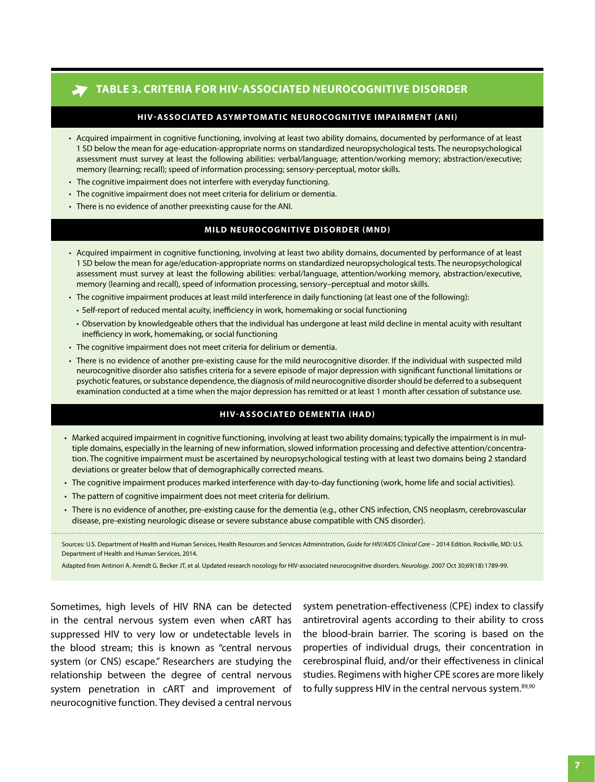## **Table 3. Criteria for HIV-Associated Neurocognitive Disorder**

#### **HIV-Associated Asymptomatic Neurocognitive Impairment (ANI)**

- • Acquired impairment in cognitive functioning, involving at least two ability domains, documented by performance of at least 1 SD below the mean for age-education-appropriate norms on standardized neuropsychological tests. The neuropsychological assessment must survey at least the following abilities: verbal/language; attention/working memory; abstraction/executive; memory (learning; recall); speed of information processing; sensory-perceptual, motor skills.
- • The cognitive impairment does not interfere with everyday functioning.
- The cognitive impairment does not meet criteria for delirium or dementia.
- There is no evidence of another preexisting cause for the ANI.

### **Mild Neurocognitive Disorder (MND)**

- • Acquired impairment in cognitive functioning, involving at least two ability domains, documented by performance of at least 1 SD below the mean for age/education-appropriate norms on standardized neuropsychological tests. The neuropsychological assessment must survey at least the following abilities: verbal/language, attention/working memory, abstraction/executive, memory (learning and recall), speed of information processing, sensory–perceptual and motor skills.
- • The cognitive impairment produces at least mild interference in daily functioning (at least one of the following):
	- • Self-report of reduced mental acuity, inefficiency in work, homemaking or social functioning
	- • Observation by knowledgeable others that the individual has undergone at least mild decline in mental acuity with resultant inefficiency in work, homemaking, or social functioning
- The cognitive impairment does not meet criteria for delirium or dementia.
- • There is no evidence of another pre-existing cause for the mild neurocognitive disorder. If the individual with suspected mild neurocognitive disorder also satisfies criteria for a severe episode of major depression with significant functional limitations or psychotic features, or substance dependence, the diagnosis of mild neurocognitive disorder should be deferred to a subsequent examination conducted at a time when the major depression has remitted or at least 1 month after cessation of substance use.

#### **HIV-Associated Dementia (HAD)**

- • Marked acquired impairment in cognitive functioning, involving at least two ability domains; typically the impairment is in multiple domains, especially in the learning of new information, slowed information processing and defective attention/concentration. The cognitive impairment must be ascertained by neuropsychological testing with at least two domains being 2 standard deviations or greater below that of demographically corrected means.
- • The cognitive impairment produces marked interference with day-to-day functioning (work, home life and social activities).
- The pattern of cognitive impairment does not meet criteria for delirium.
- There is no evidence of another, pre-existing cause for the dementia (e.g., other CNS infection, CNS neoplasm, cerebrovascular disease, pre-existing neurologic disease or severe substance abuse compatible with CNS disorder).

Sources: U.S. Department of Health and Human Services, Health Resources and Services Administration, *Guide for HIV/AIDS Clinical Care* – 2014 Edition. Rockville, MD: U.S. Department of Health and Human Services, 2014.

Adapted from Antinori A, Arendt G, Becker JT, et al. Updated research nosology for HIV-associated neurocognitive disorders. *Neurology*. 2007 Oct 30;69(18):1789-99.

Sometimes, high levels of HIV RNA can be detected in the central nervous system even when cART has suppressed HIV to very low or undetectable levels in the blood stream; this is known as "central nervous system (or CNS) escape." Researchers are studying the relationship between the degree of central nervous system penetration in cART and improvement of neurocognitive function. They devised a central nervous

system penetration-effectiveness (CPE) index to classify antiretroviral agents according to their ability to cross the blood-brain barrier. The scoring is based on the properties of individual drugs, their concentration in cerebrospinal fluid, and/or their effectiveness in clinical studies. Regimens with higher CPE scores are more likely to fully suppress HIV in the central nervous system.<sup>89,90</sup>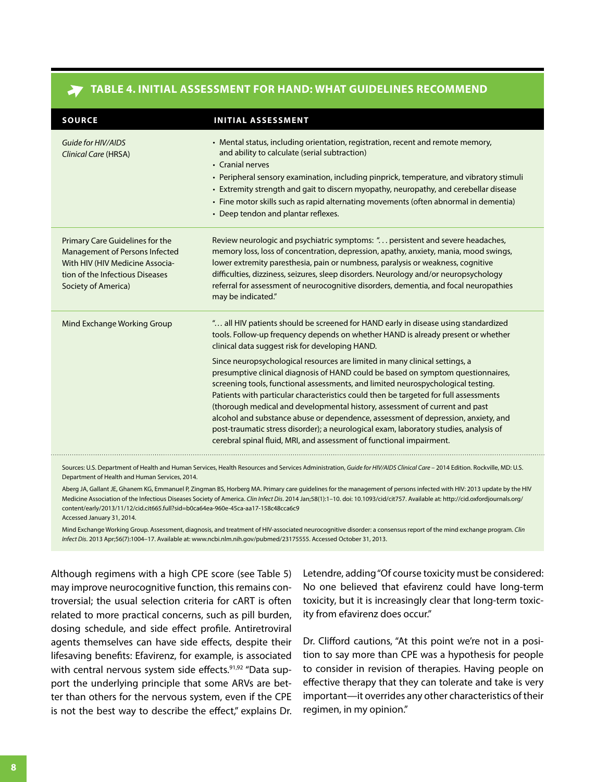| <b>SOURCE</b>                                                                                                                                                  | <b>INITIAL ASSESSMENT</b>                                                                                                                                                                                                                                                                                                                                                                                                                                                                                                                                                                                                                                                        |
|----------------------------------------------------------------------------------------------------------------------------------------------------------------|----------------------------------------------------------------------------------------------------------------------------------------------------------------------------------------------------------------------------------------------------------------------------------------------------------------------------------------------------------------------------------------------------------------------------------------------------------------------------------------------------------------------------------------------------------------------------------------------------------------------------------------------------------------------------------|
| Guide for HIV/AIDS<br>Clinical Care (HRSA)                                                                                                                     | • Mental status, including orientation, registration, recent and remote memory,<br>and ability to calculate (serial subtraction)<br>• Cranial nerves<br>• Peripheral sensory examination, including pinprick, temperature, and vibratory stimuli<br>• Extremity strength and gait to discern myopathy, neuropathy, and cerebellar disease<br>• Fine motor skills such as rapid alternating movements (often abnormal in dementia)<br>• Deep tendon and plantar reflexes.                                                                                                                                                                                                         |
| Primary Care Guidelines for the<br>Management of Persons Infected<br>With HIV (HIV Medicine Associa-<br>tion of the Infectious Diseases<br>Society of America) | Review neurologic and psychiatric symptoms: " persistent and severe headaches,<br>memory loss, loss of concentration, depression, apathy, anxiety, mania, mood swings,<br>lower extremity paresthesia, pain or numbness, paralysis or weakness, cognitive<br>difficulties, dizziness, seizures, sleep disorders. Neurology and/or neuropsychology<br>referral for assessment of neurocognitive disorders, dementia, and focal neuropathies<br>may be indicated."                                                                                                                                                                                                                 |
| Mind Exchange Working Group                                                                                                                                    | " all HIV patients should be screened for HAND early in disease using standardized<br>tools. Follow-up frequency depends on whether HAND is already present or whether<br>clinical data suggest risk for developing HAND.                                                                                                                                                                                                                                                                                                                                                                                                                                                        |
|                                                                                                                                                                | Since neuropsychological resources are limited in many clinical settings, a<br>presumptive clinical diagnosis of HAND could be based on symptom questionnaires,<br>screening tools, functional assessments, and limited neurospychological testing.<br>Patients with particular characteristics could then be targeted for full assessments<br>(thorough medical and developmental history, assessment of current and past<br>alcohol and substance abuse or dependence, assessment of depression, anxiety, and<br>post-traumatic stress disorder); a neurological exam, laboratory studies, analysis of<br>cerebral spinal fluid, MRI, and assessment of functional impairment. |

## **table 4. Initial Assessment for HAND: What Guidelines Recommend**

Sources: U.S. Department of Health and Human Services, Health Resources and Services Administration, *Guide for HIV/AIDS Clinical Care* – 2014 Edition. Rockville, MD: U.S. Department of Health and Human Services, 2014.

Aberg JA, Gallant JE, Ghanem KG, Emmanuel P, Zingman BS, Horberg MA. Primary care guidelines for the management of persons infected with HIV: 2013 update by the HIV Medicine Association of the Infectious Diseases Society of America. *Clin Infect Dis*. 2014 Jan;58(1):1–10. doi: 10.1093/cid/cit757. Available at: http://cid.oxfordjournals.org/ [content/early/2013/11/12/cid.cit665.full?sid=b0ca64ea-960e-45ca-aa17-158c48cca6c9](http://cid.oxfordjournals.org/content/early/2013/11/12/cid.cit665.full?sid=b0ca64ea-960e-45ca-aa17-158c48cca6c9) Accessed January 31, 2014.

Mind Exchange Working Group. Assessment, diagnosis, and treatment of HIV-associated neurocognitive disorder: a consensus report of the mind exchange program. *Clin Infect Dis*. 2013 Apr;56(7):1004–17. Available at: www.ncbi.nlm.nih.gov/pubmed/23175555. Accessed October 31, 2013.

Although regimens with a high CPE score (see Table 5) may improve neurocognitive function, this remains controversial; the usual selection criteria for cART is often related to more practical concerns, such as pill burden, dosing schedule, and side effect profile. Antiretroviral agents themselves can have side effects, despite their lifesaving benefits: Efavirenz, for example, is associated with central nervous system side effects.<sup>91,92</sup> "Data support the underlying principle that some ARVs are better than others for the nervous system, even if the CPE is not the best way to describe the effect," explains Dr.

Letendre, adding "Of course toxicity must be considered: No one believed that efavirenz could have long-term toxicity, but it is increasingly clear that long-term toxicity from efavirenz does occur."

Dr. Clifford cautions, "At this point we're not in a position to say more than CPE was a hypothesis for people to consider in revision of therapies. Having people on effective therapy that they can tolerate and take is very important—it overrides any other characteristics of their regimen, in my opinion."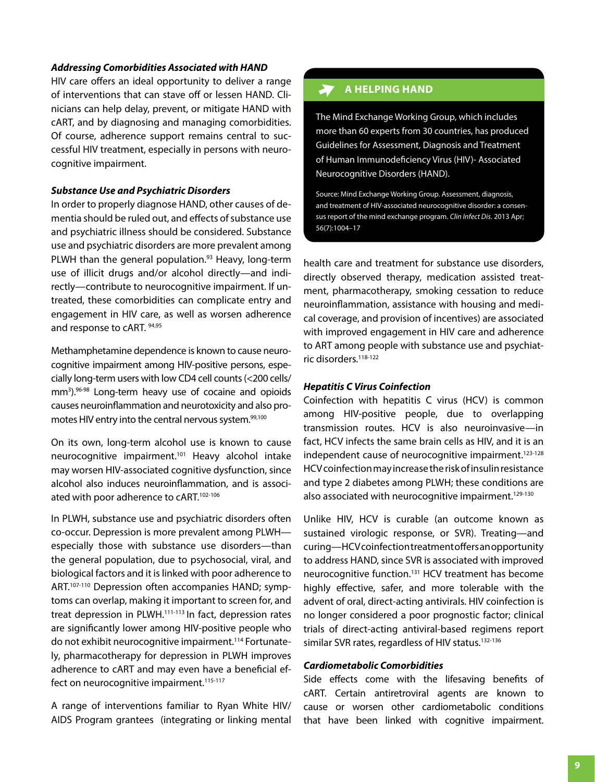#### *Addressing Comorbidities Associated with HAND*

HIV care offers an ideal opportunity to deliver a range of interventions that can stave off or lessen HAND. Clinicians can help delay, prevent, or mitigate HAND with cART, and by diagnosing and managing comorbidities. Of course, adherence support remains central to successful HIV treatment, especially in persons with neurocognitive impairment.

#### *Substance Use and Psychiatric Disorders*

In order to properly diagnose HAND, other causes of dementia should be ruled out, and effects of substance use and psychiatric illness should be considered. Substance use and psychiatric disorders are more prevalent among PLWH than the general population.<sup>93</sup> Heavy, long-term use of illicit drugs and/or alcohol directly—and indirectly—contribute to neurocognitive impairment. If untreated, these comorbidities can complicate entry and engagement in HIV care, as well as worsen adherence and response to cART. 94,95

Methamphetamine dependence is known to cause neurocognitive impairment among HIV-positive persons, especially long-term users with low CD4 cell counts(<200 cells/ mm<sup>3</sup>).<sup>96-98</sup> Long-term heavy use of cocaine and opioids causes neuroinflammation and neurotoxicity and also promotes HIV entry into the central nervous system.<sup>99,100</sup>

On its own, long-term alcohol use is known to cause neurocognitive impairment.<sup>101</sup> Heavy alcohol intake may worsen HIV-associated cognitive dysfunction, since alcohol also induces neuroinflammation, and is associated with poor adherence to cART.<sup>102-106</sup>

In PLWH, substance use and psychiatric disorders often co-occur. Depression is more prevalent among PLWH especially those with substance use disorders—than the general population, due to psychosocial, viral, and biological factors and it is linked with poor adherence to ART.107-110 Depression often accompanies HAND; symptoms can overlap, making it important to screen for, and treat depression in PLWH.<sup>111-113</sup> In fact, depression rates are significantly lower among HIV-positive people who do not exhibit neurocognitive impairment.114 Fortunately, pharmacotherapy for depression in PLWH improves adherence to cART and may even have a beneficial effect on neurocognitive impairment.<sup>115-117</sup>

A range of interventions familiar to Ryan White HIV/ AIDS Program grantees (integrating or linking mental

#### $\lambda$ **A HELPING HAND**

The Mind Exchange Working Group, which includes more than 60 experts from 30 countries, has produced Guidelines for Assessment, Diagnosis and Treatment of Human Immunodeficiency Virus (HIV)- Associated Neurocognitive Disorders (HAND).

Source: Mind Exchange Working Group. Assessment, diagnosis, and treatment of HIV-associated neurocognitive disorder: a consensus report of the mind exchange program. *Clin Infect Dis*. 2013 Apr; 56(7):1004–17

health care and treatment for substance use disorders, directly observed therapy, medication assisted treatment, pharmacotherapy, smoking cessation to reduce neuroinflammation, assistance with housing and medical coverage, and provision of incentives) are associated with improved engagement in HIV care and adherence to ART among people with substance use and psychiatric disorders.<sup>118-122</sup>

#### *Hepatitis C Virus Coinfection*

Coinfection with hepatitis C virus (HCV) is common among HIV-positive people, due to overlapping transmission routes. HCV is also neuroinvasive—in fact, HCV infects the same brain cells as HIV, and it is an independent cause of neurocognitive impairment.<sup>123-128</sup> HCV coinfection may increase the risk of insulin resistance and type 2 diabetes among PLWH; these conditions are also associated with neurocognitive impairment.<sup>129-130</sup>

Unlike HIV, HCV is curable (an outcome known as sustained virologic response, or SVR). Treating—and curing—HCV coinfection treatment offers an opportunity to address HAND, since SVR is associated with improved neurocognitive function.131 HCV treatment has become highly effective, safer, and more tolerable with the advent of oral, direct-acting antivirals. HIV coinfection is no longer considered a poor prognostic factor; clinical trials of direct-acting antiviral-based regimens report similar SVR rates, regardless of HIV status.<sup>132-136</sup>

## *Cardiometabolic Comorbidities*

Side effects come with the lifesaving benefits of cART. Certain antiretroviral agents are known to cause or worsen other cardiometabolic conditions that have been linked with cognitive impairment.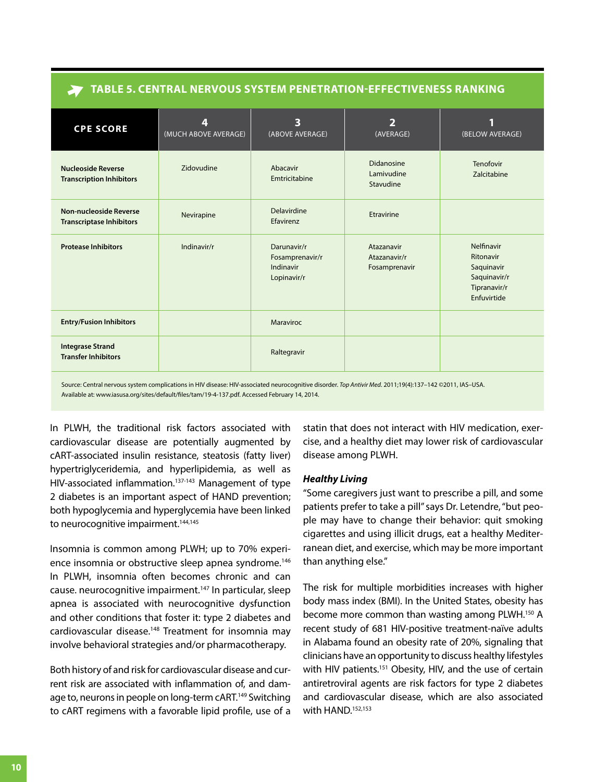| TABLE 5. CENTRAL NERVOUS SYSTEM PENETRATION-EFFECTIVENESS RANKING |                           |                                                            |                                             |                                                                                      |  |
|-------------------------------------------------------------------|---------------------------|------------------------------------------------------------|---------------------------------------------|--------------------------------------------------------------------------------------|--|
| <b>CPE SCORE</b>                                                  | 4<br>(MUCH ABOVE AVERAGE) | 3<br>(ABOVE AVERAGE)                                       | $\overline{2}$<br>(AVERAGE)                 | (BELOW AVERAGE)                                                                      |  |
| <b>Nucleoside Reverse</b><br><b>Transcription Inhibitors</b>      | Zidovudine                | Abacavir<br>Emtricitabine                                  | Didanosine<br>Lamivudine<br>Stavudine       | Tenofovir<br>Zalcitabine                                                             |  |
| <b>Non-nucleoside Reverse</b><br><b>Transcriptase Inhibitors</b>  | Nevirapine                | Delavirdine<br>Efavirenz                                   | Etravirine                                  |                                                                                      |  |
| <b>Protease Inhibitors</b>                                        | Indinavir/r               | Darunavir/r<br>Fosamprenavir/r<br>Indinavir<br>Lopinavir/r | Atazanavir<br>Atazanavir/r<br>Fosamprenavir | Nelfinavir<br>Ritonavir<br>Saquinavir<br>Saquinavir/r<br>Tipranavir/r<br>Enfuvirtide |  |
| <b>Entry/Fusion Inhibitors</b>                                    |                           | Maraviroc                                                  |                                             |                                                                                      |  |
| <b>Integrase Strand</b><br><b>Transfer Inhibitors</b>             |                           | Raltegravir                                                |                                             |                                                                                      |  |
|                                                                   |                           |                                                            |                                             |                                                                                      |  |

Source: Central nervous system complications in HIV disease: HIV-associated neurocognitive disorder. *Top Antivir Med*. 2011;19(4):137–142 ©2011, IAS–USA. Available at: www.iasusa.org/sites/default/files/tam/19-4-137.pdf. Accessed February 14, 2014.

In PLWH, the traditional risk factors associated with cardiovascular disease are potentially augmented by cART-associated insulin resistance, steatosis (fatty liver) hypertriglyceridemia, and hyperlipidemia, as well as HIV-associated inflammation.<sup>137-143</sup> Management of type 2 diabetes is an important aspect of HAND prevention; both hypoglycemia and hyperglycemia have been linked to neurocognitive impairment.<sup>144,145</sup>

Insomnia is common among PLWH; up to 70% experience insomnia or obstructive sleep apnea syndrome.<sup>146</sup> In PLWH, insomnia often becomes chronic and can cause. neurocognitive impairment.147 In particular, sleep apnea is associated with neurocognitive dysfunction and other conditions that foster it: type 2 diabetes and cardiovascular disease.<sup>148</sup> Treatment for insomnia may involve behavioral strategies and/or pharmacotherapy.

Both history of and risk for cardiovascular disease and current risk are associated with inflammation of, and damage to, neurons in people on long-term cART.<sup>149</sup> Switching to cART regimens with a favorable lipid profile, use of a

statin that does not interact with HIV medication, exercise, and a healthy diet may lower risk of cardiovascular disease among PLWH.

## *Healthy Living*

"Some caregivers just want to prescribe a pill, and some patients prefer to take a pill" says Dr. Letendre, "but people may have to change their behavior: quit smoking cigarettes and using illicit drugs, eat a healthy Mediterranean diet, and exercise, which may be more important than anything else."

The risk for multiple morbidities increases with higher body mass index (BMI). In the United States, obesity has become more common than wasting among PLWH.<sup>150</sup> A recent study of 681 HIV-positive treatment-naïve adults in Alabama found an obesity rate of 20%, signaling that clinicians have an opportunity to discuss healthy lifestyles with HIV patients.<sup>151</sup> Obesity, HIV, and the use of certain antiretroviral agents are risk factors for type 2 diabetes and cardiovascular disease, which are also associated with HAND.<sup>152,153</sup>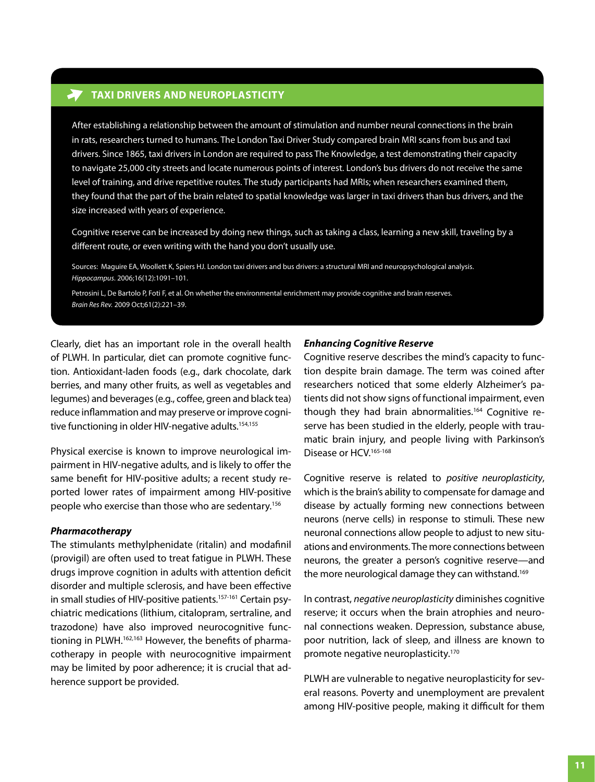## **TAXI DRIVERS AND NEUROPLASTICITY**

After establishing a relationship between the amount of stimulation and number neural connections in the brain in rats, researchers turned to humans. The London Taxi Driver Study compared brain MRI scans from bus and taxi drivers. Since 1865, taxi drivers in London are required to pass The Knowledge, a test demonstrating their capacity to navigate 25,000 city streets and locate numerous points of interest. London's bus drivers do not receive the same level of training, and drive repetitive routes. The study participants had MRIs; when researchers examined them, they found that the part of the brain related to spatial knowledge was larger in taxi drivers than bus drivers, and the size increased with years of experience.

Cognitive reserve can be increased by doing new things, such as taking a class, learning a new skill, traveling by a different route, or even writing with the hand you don't usually use.

Sources: Maguire EA, Woollett K, Spiers HJ. London taxi drivers and bus drivers: a structural MRI and neuropsychological analysis. *Hippocampus*. 2006;16(12):1091–101.

Petrosini L, De Bartolo P, Foti F, et al. On whether the environmental enrichment may provide cognitive and brain reserves. *Brain Res Rev.* 2009 Oct;61(2):221–39.

Clearly, diet has an important role in the overall health of PLWH. In particular, diet can promote cognitive function. Antioxidant-laden foods (e.g., dark chocolate, dark berries, and many other fruits, as well as vegetables and legumes) and beverages (e.g., coffee, green and black tea) reduce inflammation and may preserve or improve cognitive functioning in older HIV-negative adults.<sup>154,155</sup>

Physical exercise is known to improve neurological impairment in HIV-negative adults, and is likely to offer the same benefit for HIV-positive adults; a recent study reported lower rates of impairment among HIV-positive people who exercise than those who are sedentary.156

#### *Pharmacotherapy*

The stimulants methylphenidate (ritalin) and modafinil (provigil) are often used to treat fatigue in PLWH. These drugs improve cognition in adults with attention deficit disorder and multiple sclerosis, and have been effective in small studies of HIV-positive patients.<sup>157-161</sup> Certain psychiatric medications (lithium, citalopram, sertraline, and trazodone) have also improved neurocognitive functioning in PLWH.<sup>162,163</sup> However, the benefits of pharmacotherapy in people with neurocognitive impairment may be limited by poor adherence; it is crucial that adherence support be provided.

#### *Enhancing Cognitive Reserve*

Cognitive reserve describes the mind's capacity to function despite brain damage. The term was coined after researchers noticed that some elderly Alzheimer's patients did not show signs of functional impairment, even though they had brain abnormalities.<sup>164</sup> Cognitive reserve has been studied in the elderly, people with traumatic brain injury, and people living with Parkinson's Disease or HCV.<sup>165-168</sup>

Cognitive reserve is related to *positive neuroplasticity*, which is the brain's ability to compensate for damage and disease by actually forming new connections between neurons (nerve cells) in response to stimuli. These new neuronal connections allow people to adjust to new situations and environments. The more connections between neurons, the greater a person's cognitive reserve—and the more neurological damage they can withstand.<sup>169</sup>

In contrast, *negative neuroplasticity* diminishes cognitive reserve; it occurs when the brain atrophies and neuronal connections weaken. Depression, substance abuse, poor nutrition, lack of sleep, and illness are known to promote negative neuroplasticity.<sup>170</sup>

PLWH are vulnerable to negative neuroplasticity for several reasons. Poverty and unemployment are prevalent among HIV-positive people, making it difficult for them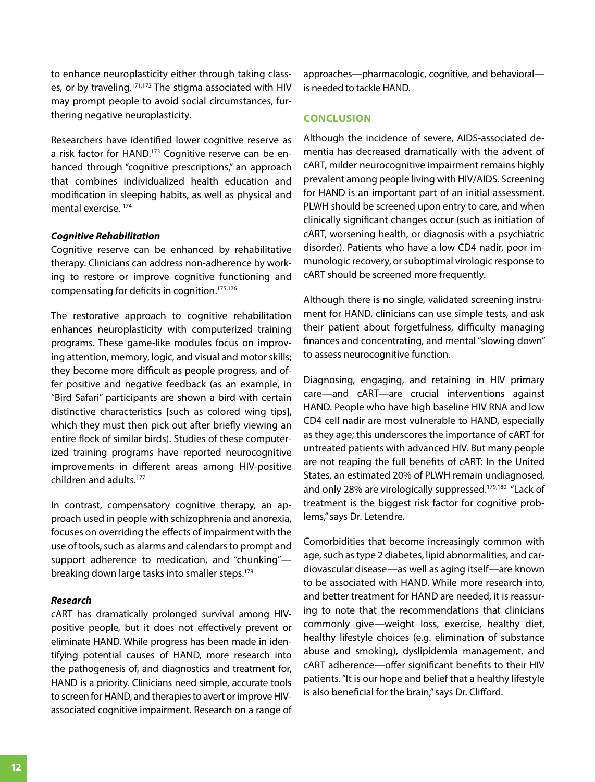to enhance neuroplasticity either through taking classes, or by traveling.<sup>171,172</sup> The stigma associated with HIV may prompt people to avoid social circumstances, furthering negative neuroplasticity.

Researchers have identified lower cognitive reserve as a risk factor for HAND.<sup>173</sup> Cognitive reserve can be enhanced through "cognitive prescriptions," an approach that combines individualized health education and modification in sleeping habits, as well as physical and mental exercise. <sup>174</sup>

#### *Cognitive Rehabilitation*

Cognitive reserve can be enhanced by rehabilitative therapy. Clinicians can address non-adherence by working to restore or improve cognitive functioning and compensating for deficits in cognition.175,176

The restorative approach to cognitive rehabilitation enhances neuroplasticity with computerized training programs. These game-like modules focus on improving attention, memory, logic, and visual and motor skills; they become more difficult as people progress, and offer positive and negative feedback (as an example, in "Bird Safari" participants are shown a bird with certain distinctive characteristics [such as colored wing tips], which they must then pick out after briefly viewing an entire flock of similar birds). Studies of these computerized training programs have reported neurocognitive improvements in different areas among HIV-positive children and adults.177

In contrast, compensatory cognitive therapy, an approach used in people with schizophrenia and anorexia, focuses on overriding the effects of impairment with the use of tools, such as alarms and calendars to prompt and support adherence to medication, and "chunking" breaking down large tasks into smaller steps.<sup>178</sup>

#### *Research*

cART has dramatically prolonged survival among HIVpositive people, but it does not effectively prevent or eliminate HAND. While progress has been made in identifying potential causes of HAND, more research into the pathogenesis of, and diagnostics and treatment for, HAND is a priority. Clinicians need simple, accurate tools to screen for HAND, and therapies to avert or improve HIVassociated cognitive impairment. Research on a range of approaches—pharmacologic, cognitive, and behavioral is needed to tackle HAND.

#### **Conclusion**

Although the incidence of severe, AIDS-associated dementia has decreased dramatically with the advent of cART, milder neurocognitive impairment remains highly prevalent among people living with HIV/AIDS. Screening for HAND is an important part of an initial assessment. PLWH should be screened upon entry to care, and when clinically significant changes occur (such as initiation of cART, worsening health, or diagnosis with a psychiatric disorder). Patients who have a low CD4 nadir, poor immunologic recovery, or suboptimal virologic response to cART should be screened more frequently.

Although there is no single, validated screening instrument for HAND, clinicians can use simple tests, and ask their patient about forgetfulness, difficulty managing finances and concentrating, and mental "slowing down" to assess neurocognitive function.

Diagnosing, engaging, and retaining in HIV primary care—and cART—are crucial interventions against HAND. People who have high baseline HIV RNA and low CD4 cell nadir are most vulnerable to HAND, especially as they age; this underscores the importance of cART for untreated patients with advanced HIV. But many people are not reaping the full benefits of cART: In the United States, an estimated 20% of PLWH remain undiagnosed, and only 28% are virologically suppressed.179,180 "Lack of treatment is the biggest risk factor for cognitive problems," says Dr. Letendre.

Comorbidities that become increasingly common with age, such as type 2 diabetes, lipid abnormalities, and cardiovascular disease—as well as aging itself—are known to be associated with HAND. While more research into, and better treatment for HAND are needed, it is reassuring to note that the recommendations that clinicians commonly give—weight loss, exercise, healthy diet, healthy lifestyle choices (e.g. elimination of substance abuse and smoking), dyslipidemia management, and cART adherence—offer significant benefits to their HIV patients. "It is our hope and belief that a healthy lifestyle is also beneficial for the brain," says Dr. Clifford.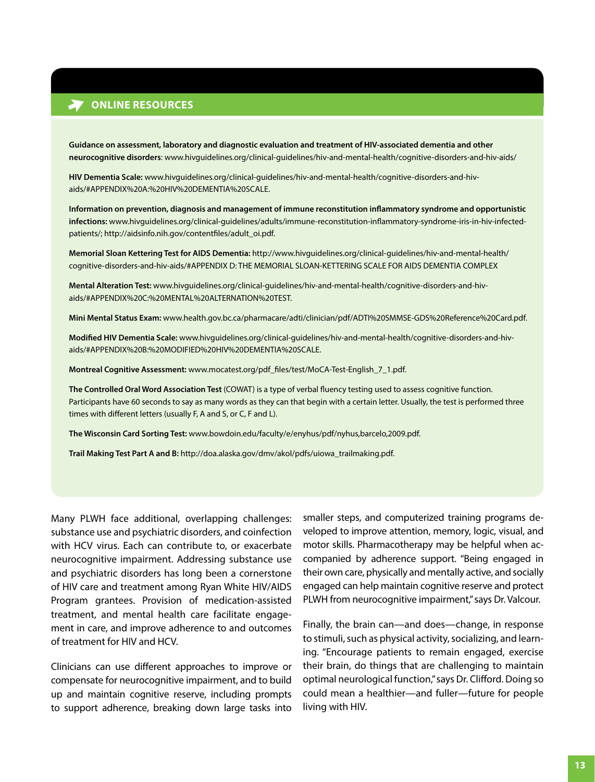## **ONLINE RESOURCES**

**Guidance on assessment, laboratory and diagnostic evaluation and treatment of HIV-associated dementia and other neurocognitive disorders**: www.hivguidelines.org/clinical-guidelines/hiv-and-mental-health/cognitive-disorders-and-hiv-aids/

**HIV Dementia Scale:** www.hivguidelines.org/clinical-guidelines/hiv-and-mental-health/cognitive-disorders-and-hivaids/#APPENDIX%20A:%20HIV%20DEMENTIA%20SCALE.

**Information on prevention, diagnosis and management of immune reconstitution inflammatory syndrome and opportunistic infections:** www.hivguidelines.org/clinical-guidelines/adults/immune-reconstitution-inflammatory-syndrome-iris-in-hiv-infectedpatients/; http://aidsinfo.nih.gov/contentfiles/adult\_oi.pdf.

**Memorial Sloan Kettering Test for AIDS Dementia:** [http://www.hivguidelines.org/clinical-guidelines/hiv-and-mental-health/](http://www.hivguidelines.org/clinical-guidelines/hiv-and-mental-health/cognitive-disorders-and-hiv-aids/#APPENDIX D: THE MEMORIAL SLOAN-KETTERING SCALE FOR AIDS DEMENTIA COMPLEX) cognitive-disorders-and-hiv-aids/#APPENDIX D: THE MEMORIAL SLOAN-KETTERING SCALE FOR AIDS DEMENTIA COMPLEX

**Mental Alteration Test:** www.hivguidelines.org/clinical-guidelines/hiv-and-mental-health/cognitive-disorders-and-hivaids/#APPENDIX%20C:%20MENTAL%20ALTERNATION%20TEST.

**Mini Mental Status Exam:** www.health.gov.bc.ca/pharmacare/adti/clinician/pdf/ADTI%20SMMSE-GDS%20Reference%20Card.pdf.

**Modified HIV Dementia Scale:** www.hivguidelines.org/clinical-guidelines/hiv-and-mental-health/cognitive-disorders-and-hivaids/#APPENDIX%20B:%20MODIFIED%20HIV%20DEMENTIA%20SCALE.

**Montreal Cognitive Assessment:** www.mocatest.org/pdf\_files/test/MoCA-Test-English\_7\_1.pdf.

**The Controlled Oral Word Association Test** (COWAT) is a type of verbal fluency testing used to assess cognitive function. Participants have 60 seconds to say as many words as they can that begin with a certain letter. Usually, the test is performed three times with different letters (usually F, A and S, or C, F and L).

**The Wisconsin Card Sorting Test:** <www.bowdoin.edu/faculty/e/enyhus/pdf/nyhus,barcelo,2009.pdf.>

**Trail Making Test Part A and B:** http://doa.alaska.gov/dmv/akol/pdfs/uiowa\_trailmaking.pdf.

Many PLWH face additional, overlapping challenges: substance use and psychiatric disorders, and coinfection with HCV virus. Each can contribute to, or exacerbate neurocognitive impairment. Addressing substance use and psychiatric disorders has long been a cornerstone of HIV care and treatment among Ryan White HIV/AIDS Program grantees. Provision of medication-assisted treatment, and mental health care facilitate engagement in care, and improve adherence to and outcomes of treatment for HIV and HCV.

Clinicians can use different approaches to improve or compensate for neurocognitive impairment, and to build up and maintain cognitive reserve, including prompts to support adherence, breaking down large tasks into

smaller steps, and computerized training programs developed to improve attention, memory, logic, visual, and motor skills. Pharmacotherapy may be helpful when accompanied by adherence support. "Being engaged in their own care, physically and mentally active, and socially engaged can help maintain cognitive reserve and protect PLWH from neurocognitive impairment," says Dr. Valcour.

Finally, the brain can—and does—change, in response to stimuli, such as physical activity, socializing, and learning. "Encourage patients to remain engaged, exercise their brain, do things that are challenging to maintain optimal neurological function," says Dr. Clifford. Doing so could mean a healthier—and fuller—future for people living with HIV.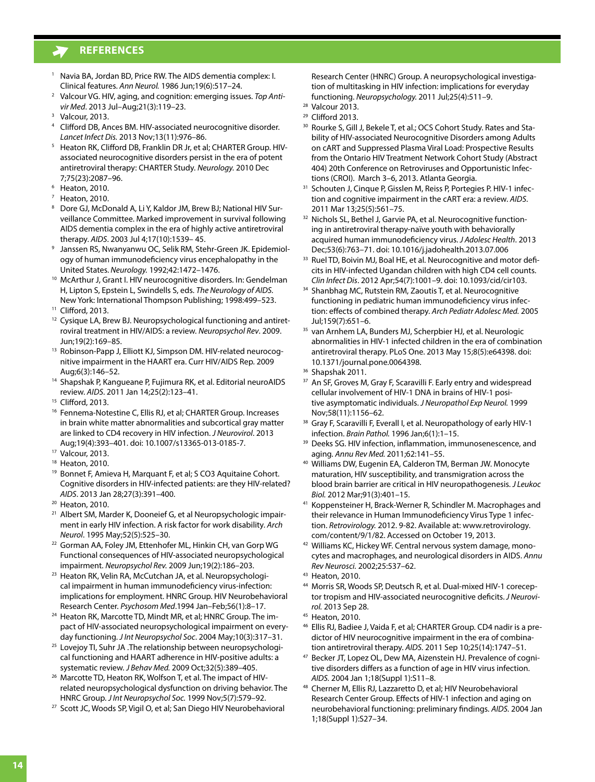- <sup>1</sup> Navia BA, Jordan BD, Price RW. The AIDS dementia complex: I. Clinical features. *Ann Neurol.* 1986 Jun;19(6):517–24.
- <sup>2</sup> Valcour VG. HIV, aging, and cognition: emerging issues. *Top Antivir Med*. 2013 Jul–Aug;21(3):119–23.
- $3$  Valcour, 2013.
- <sup>4</sup> Clifford DB, Ances BM. HIV-associated neurocognitive disorder. *Lancet Infect Dis.* 2013 Nov;13(11):976–86.
- 5 Heaton RK, Clifford DB, Franklin DR Jr, et al; CHARTER Group. HIVassociated neurocognitive disorders persist in the era of potent antiretroviral therapy: CHARTER Study. *Neurology.* 2010 Dec 7;75(23):2087–96.
- <sup>6</sup> Heaton, 2010.
- Heaton, 2010.
- Dore GJ, McDonald A, Li Y, Kaldor JM, Brew BJ; National HIV Surveillance Committee. Marked improvement in survival following AIDS dementia complex in the era of highly active antiretroviral therapy. *AIDS*. 2003 Jul 4;17(10):1539– 45.
- <sup>9</sup> Janssen RS, Nwanyanwu OC, Selik RM, Stehr-Green JK. Epidemiology of human immunodeficiency virus encephalopathy in the United States. *Neurology.* 1992;42:1472–1476.
- <sup>10</sup> McArthur J, Grant I. HIV neurocognitive disorders. In: Gendelman H, Lipton S, Epstein L, Swindells S, eds. *The Neurology of AIDS.* New York: International Thompson Publishing; 1998:499–523.
- <sup>11</sup> Clifford, 2013.
- <sup>12</sup> Cysique LA, Brew BJ. Neuropsychological functioning and antiretroviral treatment in HIV/AIDS: a review. *Neuropsychol Rev*. 2009. Jun;19(2):169–85.
- 13 Robinson-Papp J, Elliott KJ, Simpson DM. HIV-related neurocognitive impairment in the HAART era. Curr HIV/AIDS Rep. 2009
- Aug;6(3):146–52.<br><sup>14</sup> Shapshak P, Kangueane P, Fujimura RK, et al. Editorial neuroAIDS review. *AIDS*. 2011 Jan 14;25(2):123–41.
- <sup>15</sup> Clifford, 2013.
- <sup>16</sup> Fennema-Notestine C, Ellis RJ, et al; CHARTER Group. Increases in brain white matter abnormalities and subcortical gray matter are linked to CD4 recovery in HIV infection. *J Neurovirol*. 2013 Aug;19(4):393–401. doi: 10.1007/s13365-013-0185-7.
- <sup>17</sup> Valcour, 2013.
- <sup>18</sup> Heaton, 2010.
- <sup>19</sup> Bonnet F, Amieva H, Marquant F, et al; S CO3 Aquitaine Cohort. Cognitive disorders in HIV-infected patients: are they HIV-related? *AIDS*. 2013 Jan 28;27(3):391–400.
- <sup>20</sup> Heaton, 2010.
- <sup>21</sup> Albert SM, Marder K, Dooneief G, et al Neuropsychologic impairment in early HIV infection. A risk factor for work disability. *Arch Neurol*. 1995 May;52(5):525–30.
- <sup>22</sup> Gorman AA, Foley JM, Ettenhofer ML, Hinkin CH, van Gorp WG Functional consequences of HIV-associated neuropsychological impairment. *Neuropsychol Rev.* 2009 Jun;19(2):186–203.
- <sup>23</sup> Heaton RK, Velin RA, McCutchan JA, et al. Neuropsychological impairment in human immunodeficiency virus-infection: implications for employment. HNRC Group. HIV Neurobehavioral Research Center. *Psychosom Med*.1994 Jan–Feb;56(1):8–17.
- <sup>24</sup> Heaton RK, Marcotte TD, Mindt MR, et al; HNRC Group. The impact of HIV-associated neuropsychological impairment on everyday functioning. *J Int Neuropsychol Soc*. 2004 May;10(3):317–31.
- <sup>25</sup> Lovejoy TI, Suhr JA .The relationship between neuropsychological functioning and HAART adherence in HIV-positive adults: a systematic review. *J Behav Med.* 2009 Oct;32(5):389–405.
- <sup>26</sup> Marcotte TD, Heaton RK, Wolfson T, et al. The impact of HIVrelated neuropsychological dysfunction on driving behavior. The HNRC Group. *J Int Neuropsychol Soc.* 1999 Nov;5(7):579–92.
- <sup>27</sup> Scott JC, Woods SP, Vigil O, et al; San Diego HIV Neurobehavioral

Research Center (HNRC) Group. A neuropsychological investigation of multitasking in HIV infection: implications for everyday functioning. *Neuropsychology.* 2011 Jul;25(4):511–9.

- <sup>29</sup> Clifford 2013.
- <sup>30</sup> Rourke S, Gill J, Bekele T, et al.; OCS Cohort Study. Rates and Stability of HIV-associated Neurocognitive Disorders among Adults on cART and Suppressed Plasma Viral Load: Prospective Results from the Ontario HIV Treatment Network Cohort Study (Abstract 404) 20th Conference on Retroviruses and Opportunistic Infections (CROI). March 3–6, 2013. Atlanta Georgia.
- <sup>31</sup> Schouten J, Cinque P, Gisslen M, Reiss P, Portegies P. HIV-1 infection and cognitive impairment in the cART era: a review. *AIDS*. 2011 Mar 13;25(5):561–75.
- 32 Nichols SL, Bethel J, Garvie PA, et al. Neurocognitive functioning in antiretroviral therapy-naïve youth with behaviorally acquired human immunodeficiency virus. *J Adolesc Health*. 2013 Dec;53(6):763–71. doi: 10.1016/j.jadohealth.2013.07.006
- 33 Ruel TD, Boivin MJ, Boal HE, et al. Neurocognitive and motor deficits in HIV-infected Ugandan children with high CD4 cell counts. *Clin Infect Dis*. 2012 Apr;54(7):1001–9. doi: 10.1093/cid/cir103.
- 34 Shanbhag MC, Rutstein RM, Zaoutis T, et al. Neurocognitive functioning in pediatric human immunodeficiency virus infection: effects of combined therapy. *Arch Pediatr Adolesc Med.* 2005 Jul;159(7):651–6.
- <sup>35</sup> van Arnhem LA, Bunders MJ, Scherpbier HJ, et al. Neurologic abnormalities in HIV-1 infected children in the era of combination antiretroviral therapy. PLoS One. 2013 May 15;8(5):e64398. doi: 10.1371/journal.pone.0064398.
- <sup>36</sup> Shapshak 2011.
- <sup>37</sup> An SF, Groves M, Gray F, Scaravilli F. Early entry and widespread cellular involvement of HIV-1 DNA in brains of HIV-1 positive asymptomatic individuals. *J Neuropathol Exp Neurol.* 1999 Nov;58(11):1156–62.
- <sup>38</sup> Gray F, Scaravilli F, Everall I, et al. Neuropathology of early HIV-1 infection. *Brain Pathol.* 1996 Jan;6(1):1–15.
- <sup>39</sup> Deeks SG. HIV infection, inflammation, immunosenescence, and aging. *Annu Rev Med.* 2011;62:141–55.
- <sup>40</sup> Williams DW, Eugenin EA, Calderon TM, Berman JW. Monocyte maturation, HIV susceptibility, and transmigration across the blood brain barrier are critical in HIV neuropathogenesis. *J Leukoc Biol.* 2012 Mar;91(3):401–15.
- <sup>41</sup> Koppensteiner H, Brack-Werner R, Schindler M. Macrophages and their relevance in Human Immunodeficiency Virus Type 1 infection. *Retrovirology.* 2012. 9-82. Available at: www.retrovirology. [com/content/9/1/82.](www.retrovirology.com/content/9/1/82) Accessed on October 19, 2013.
- 42 Williams KC, Hickey WF. Central nervous system damage, monocytes and macrophages, and neurological disorders in AIDS. *Annu Rev Neurosci.* 2002;25:537–62.
- <sup>43</sup> Heaton, 2010.
- <sup>44</sup> Morris SR, Woods SP, Deutsch R, et al. Dual-mixed HIV-1 coreceptor tropism and HIV-associated neurocognitive deficits. *J Neurovirol.* 2013 Sep 28.
- <sup>45</sup> Heaton, 2010.
- <sup>46</sup> Ellis RJ, Badiee J, Vaida F, et al; CHARTER Group. CD4 nadir is a predictor of HIV neurocognitive impairment in the era of combination antiretroviral therapy. *AIDS.* 2011 Sep 10;25(14):1747–51.
- <sup>47</sup> Becker JT, Lopez OL, Dew MA, Aizenstein HJ. Prevalence of cognitive disorders differs as a function of age in HIV virus infection. *AIDS.* 2004 Jan 1;18(Suppl 1):S11–8.
- <sup>48</sup> Cherner M, Ellis RJ, Lazzaretto D, et al; HIV Neurobehavioral Research Center Group. Effects of HIV-1 infection and aging on neurobehavioral functioning: preliminary findings. *AIDS.* 2004 Jan 1;18(Suppl 1):S27–34.

<sup>28</sup> Valcour 2013.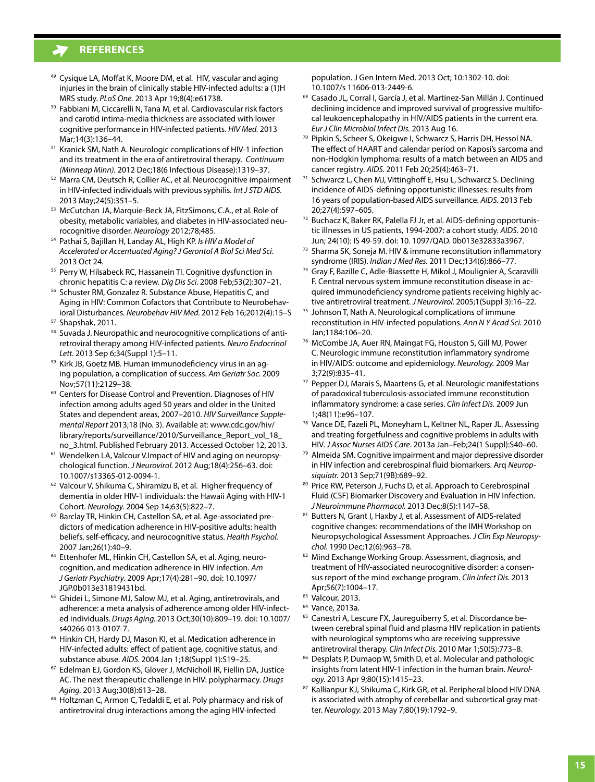- <sup>49</sup> Cysique LA, Moffat K, Moore DM, et al. HIV, vascular and aging injuries in the brain of clinically stable HIV-infected adults: a (1)H MRS study. *PLoS One.* 2013 Apr 19;8(4):e61738.
- <sup>50</sup> Fabbiani M, Ciccarelli N, Tana M, et al. Cardiovascular risk factors and carotid intima-media thickness are associated with lower cognitive performance in HIV-infected patients. *HIV Med.* 2013
- Mar;14(3):136–44.<br><sup>51</sup> Kranick SM, Nath A. Neurologic complications of HIV-1 infection and its treatment in the era of antiretroviral therapy. *Continuum (Minneap Minn).* 2012 Dec;18(6 Infectious Disease):1319–37.
- <sup>52</sup> Marra CM, Deutsch R, Collier AC, et al. Neurocognitive impairment in HIV-infected individuals with previous syphilis. *Int J STD AIDS.* 2013 May;24(5):351–5.
- <sup>53</sup> McCutchan JA, Marquie-Beck JA, FitzSimons, C.A., et al. Role of obesity, metabolic variables, and diabetes in HIV-associated neurocognitive disorder. *Neurology* 2012;78;485.
- <sup>54</sup> Pathai S, Bajillan H, Landay AL, High KP. *Is HIV a Model of Accelerated or Accentuated Aging? J Gerontol A Biol Sci Med Sci*. 2013 Oct 24.
- <sup>55</sup> Perry W, Hilsabeck RC, Hassanein Tl. Cognitive dysfunction in chronic hepatitis C: a review. *Dig Dis Sci.* 2008 Feb;53(2):307–21.
- <sup>56</sup> Schuster RM, Gonzalez R. Substance Abuse, Hepatitis C, and Aging in HIV: Common Cofactors that Contribute to Neurobehavioral Disturbances. *Neurobehav HIV Med.* 2012 Feb 16;2012(4):15–S
- <sup>57</sup> Shapshak, 2011.
- 58 Suvada J. Neuropathic and neurocognitive complications of antiretroviral therapy among HIV-infected patients. *Neuro Endocrinol Lett.* 2013 Sep 6;34(Suppl 1):5–11.
- <sup>59</sup> Kirk JB, Goetz MB. Human immunodeficiency virus in an aging population, a complication of success. *Am Geriatr Soc.* 2009
- Nov;57(11):2129–38.<br><sup>60</sup> Centers for Disease Control and Prevention. Diagnoses of HIV infection among adults aged 50 years and older in the United States and dependent areas, 2007–2010. *HIV Surveillance Supplemental Report* 2013;18 (No. 3). Available at: www.cdc.gov/hiv/ [library/reports/surveillance/2010/Surveillance\\_Report\\_vol\\_18\\_](www.cdc.gov/hiv/library/reports/surveillance/2010/Surveillance_Report_vol_18_no_3.html) no\_3.html. Published February 2013. Accessed October 12, 2013.
- <sup>61</sup> Wendelken LA, Valcour V.Impact of HIV and aging on neuropsychological function. *J Neurovirol.* 2012 Aug;18(4):256–63. doi: 10.1007/s13365-012-0094-1.
- <sup>62</sup> Valcour V, Shikuma C, Shiramizu B, et al. Higher frequency of dementia in older HIV-1 individuals: the Hawaii Aging with HIV-1 Cohort. *Neurology.* 2004 Sep 14;63(5):822–7.
- <sup>63</sup> Barclay TR, Hinkin CH, Castellon SA, et al. Age-associated predictors of medication adherence in HIV-positive adults: health beliefs, self-efficacy, and neurocognitive status. *Health Psychol.*  2007 Jan;26(1):40–9.
- <sup>64</sup> Ettenhofer ML, Hinkin CH, Castellon SA, et al. Aging, neurocognition, and medication adherence in HIV infection. *Am J Geriatr Psychiatry.* 2009 Apr;17(4):281–90. doi: 10.1097/ JGP.0b013e31819431bd.
- <sup>65</sup> Ghidei L, Simone MJ, Salow MJ, et al. Aging, antiretrovirals, and adherence: a meta analysis of adherence among older HIV-infected individuals. *Drugs Aging.* 2013 Oct;30(10):809–19. doi: 10.1007/ s40266-013-0107-7.
- <sup>66</sup> Hinkin CH, Hardy DJ, Mason KI, et al. Medication adherence in HIV-infected adults: effect of patient age, cognitive status, and substance abuse. *AIDS.* 2004 Jan 1;18(Suppl 1):S19–25.
- <sup>67</sup> Edelman EJ, Gordon KS, Glover J, McNicholl IR, Fiellin DA, Justice AC. The next therapeutic challenge in HIV: polypharmacy. *Drugs Aging.* 2013 Aug;30(8):613–28.
- 68 Holtzman C, Armon C, Tedaldi E, et al. Poly pharmacy and risk of antiretroviral drug interactions among the aging HIV-infected

population. J Gen Intern Med. 2013 Oct; 10:1302-10. doi: 10.1007/s 11606-013-2449-6.

- <sup>69</sup> Casado JL, Corral I, García J, et al. Martinez-San Millán J. Continued declining incidence and improved survival of progressive multifocal leukoencephalopathy in HIV/AIDS patients in the current era. *Eur J Clin Microbiol Infect Dis.* 2013 Aug 16.
- <sup>70</sup> Pipkin S, Scheer S, Okeigwe I, Schwarcz S, Harris DH, Hessol NA. The effect of HAART and calendar period on Kaposi's sarcoma and non-Hodgkin lymphoma: results of a match between an AIDS and cancer registry. *AIDS.* 2011 Feb 20;25(4):463–71.
- <sup>71</sup> Schwarcz L, Chen MJ, Vittinghoff E, Hsu L, Schwarcz S. Declining incidence of AIDS-defining opportunistic illnesses: results from 16 years of population-based AIDS surveillance. *AIDS.* 2013 Feb 20;27(4):597–605.
- <sup>72</sup> Buchacz K, Baker RK, Palella FJ Jr, et al. AIDS-defining opportunistic illnesses in US patients, 1994-2007: a cohort study. *AIDS*. 2010 Jun; 24(10): IS 49-59. doi: 10. 1097/QAD. 0b013e32833a3967.
- <sup>73</sup> Sharma SK, Soneja M. HIV & immune reconstitution inflammatory syndrome (IRIS). *Indian J Med Res.* 2011 Dec;134(6):866–77.
- <sup>74</sup> Gray F, Bazille C, Adle-Biassette H, Mikol J, Moulignier A, Scaravilli F. Central nervous system immune reconstitution disease in acquired immunodeficiency syndrome patients receiving highly active antiretroviral treatment. *J Neurovirol.* 2005;1(Suppl 3):16–22.
- <sup>75</sup> Johnson T, Nath A. Neurological complications of immune reconstitution in HIV-infected populations. *Ann N Y Acad Sci.* 2010 Jan;1184:106–20.
- <sup>76</sup> McCombe JA, Auer RN, Maingat FG, Houston S, Gill MJ, Power C. Neurologic immune reconstitution inflammatory syndrome in HIV/AIDS: outcome and epidemiology. *Neurology.* 2009 Mar 3;72(9):835–41.
- <sup>77</sup> Pepper DJ, Marais S, Maartens G, et al. Neurologic manifestations of paradoxical tuberculosis-associated immune reconstitution inflammatory syndrome: a case series. *Clin Infect Dis.* 2009 Jun 1;48(11):e96–107.
- <sup>78</sup> Vance DE, Fazeli PL, Moneyham L, Keltner NL, Raper JL. Assessing and treating forgetfulness and cognitive problems in adults with
- HIV. *J Assoc Nurses AIDS Care*. 2013a Jan–Feb;24(1 Suppl):S40–60. 79 Almeida SM. Cognitive impairment and major depressive disorder in HIV infection and cerebrospinal fluid biomarkers. Arq *Neuropsiquiatr.* 2013 Sep;71(9B):689–92.
- 80 Price RW, Peterson J, Fuchs D, et al. Approach to Cerebrospinal Fluid (CSF) Biomarker Discovery and Evaluation in HIV Infection. *J Neuroimmune Pharmacol.* 2013 Dec;8(5):1147–58.
- 81 Butters N, Grant I, Haxby J, et al. Assessment of AIDS-related cognitive changes: recommendations of the IMH Workshop on Neuropsychological Assessment Approaches. *J Clin Exp Neuropsychol.* 1990 Dec;12(6):963–78.
- 82 Mind Exchange Working Group. Assessment, diagnosis, and treatment of HIV-associated neurocognitive disorder: a consensus report of the mind exchange program. *Clin Infect Dis.* 2013 Apr;56(7):1004–17.
- <sup>83</sup> Valcour, 2013.
- <sup>84</sup> Vance, 2013a.
- 85 Canestri A, Lescure FX, Jaureguiberry S, et al. Discordance between cerebral spinal fluid and plasma HIV replication in patients with neurological symptoms who are receiving suppressive antiretroviral therapy. *Clin Infect Dis.* 2010 Mar 1;50(5):773–8.
- 86 Desplats P, Dumaop W, Smith D, et al. Molecular and pathologic insights from latent HIV-1 infection in the human brain. *Neurology.* 2013 Apr 9;80(15):1415–23.
- 87 Kallianpur KJ, Shikuma C, Kirk GR, et al. Peripheral blood HIV DNA is associated with atrophy of cerebellar and subcortical gray matter. *Neurology.* 2013 May 7;80(19):1792–9.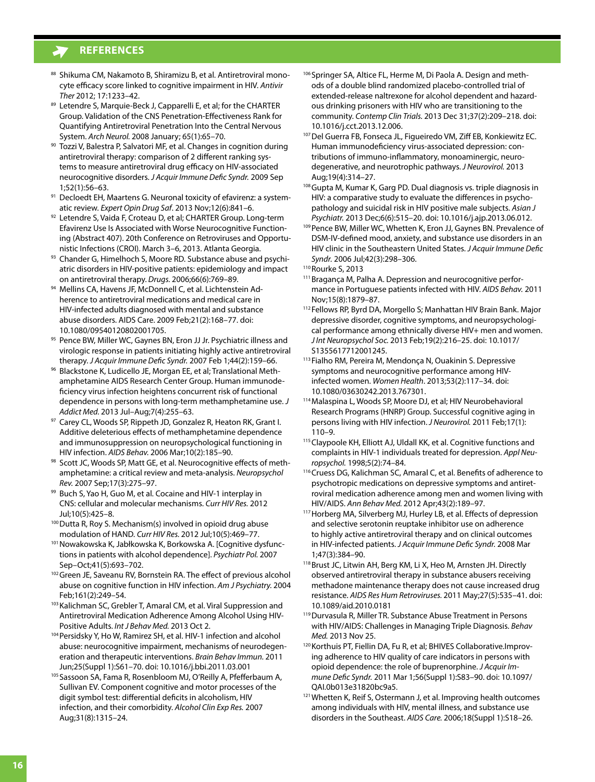- 88 Shikuma CM, Nakamoto B, Shiramizu B, et al. Antiretroviral monocyte efficacy score linked to cognitive impairment in HIV. *Antivir Ther* 2012; 17:1233–42.
- 89 Letendre S, Marquie-Beck J, Capparelli E, et al; for the CHARTER Group. Validation of the CNS Penetration-Effectiveness Rank for Quantifying Antiretroviral Penetration Into the Central Nervous System. *Arch Neurol.* 2008 January; 65(1):65–70.
- 90 Tozzi V, Balestra P, Salvatori MF, et al. Changes in cognition during antiretroviral therapy: comparison of 2 different ranking systems to measure antiretroviral drug efficacy on HIV-associated neurocognitive disorders. *J Acquir Immune Defic Syndr.* 2009 Sep 1;52(1):56–63.
- 91 Decloedt EH, Maartens G. Neuronal toxicity of efavirenz: a systematic review. *Expert Opin Drug Saf*. 2013 Nov;12(6):841–6.
- 92 Letendre S, Vaida F, Croteau D, et al; CHARTER Group. Long-term Efavirenz Use Is Associated with Worse Neurocognitive Functioning (Abstract 407). 20th Conference on Retroviruses and Opportu-
- nistic Infections (CROI). March 3–6, 2013. Atlanta Georgia.<br><sup>93</sup> Chander G, Himelhoch S, Moore RD. Substance abuse and psychiatric disorders in HIV-positive patients: epidemiology and impact on antiretroviral therapy. *Drugs.* 2006;66(6):769–89.
- 94 Mellins CA, Havens JF, McDonnell C, et al. Lichtenstein Adherence to antiretroviral medications and medical care in HIV-infected adults diagnosed with mental and substance abuse disorders. AIDS Care. 2009 Feb;21(2):168–77. doi: 10.1080/09540120802001705.
- <sup>95</sup> Pence BW, Miller WC, Gaynes BN, Eron JJ Jr. Psychiatric illness and virologic response in patients initiating highly active antiretroviral therapy. *J Acquir Immune Defic Syndr.* 2007 Feb 1;44(2):159–66.
- <sup>96</sup> Blackstone K, Ludicello JE, Morgan EE, et al; Translational Methamphetamine AIDS Research Center Group. Human immunodeficiency virus infection heightens concurrent risk of functional dependence in persons with long-term methamphetamine use. *J Addict Med.* 2013 Jul–Aug;7(4):255–63.
- 97 Carey CL, Woods SP, Rippeth JD, Gonzalez R, Heaton RK, Grant I. Additive deleterious effects of methamphetamine dependence and immunosuppression on neuropsychological functioning in HIV infection. *AIDS Behav.* 2006 Mar;10(2):185–90.
- 98 Scott JC, Woods SP, Matt GE, et al. Neurocognitive effects of methamphetamine: a critical review and meta-analysis. *Neuropsychol Rev.* 2007 Sep;17(3):275–97.
- 99 Buch S, Yao H, Guo M, et al. Cocaine and HIV-1 interplay in CNS: cellular and molecular mechanisms. *Curr HIV Res.* 2012 Jul;10(5):425–8.
- <sup>100</sup> Dutta R, Roy S. Mechanism(s) involved in opioid drug abuse modulation of HAND. *Curr HIV Res.* 2012 Jul;10(5):469–77.
- 101 Nowakowska K, Jabłkowska K, Borkowska A. [Cognitive dysfunctions in patients with alcohol dependence]. *Psychiatr Pol.* 2007
- Sep–Oct;41(5):693–702.<br><sup>102</sup> Green JE, Saveanu RV, Bornstein RA. The effect of previous alcohol abuse on cognitive function in HIV infection. *Am J Psychiatry.* 2004 Feb;161(2):249–54.
- 103 Kalichman SC, Grebler T, Amaral CM, et al. Viral Suppression and Antiretroviral Medication Adherence Among Alcohol Using HIV-Positive Adults. *Int J Behav Med.* 2013 Oct 2.
- <sup>104</sup> Persidsky Y, Ho W, Ramirez SH, et al. HIV-1 infection and alcohol abuse: neurocognitive impairment, mechanisms of neurodegeneration and therapeutic interventions. *Brain Behav Immun.* 2011 Jun;25(Suppl 1):S61–70. doi: 10.1016/j.bbi.2011.03.001
- <sup>105</sup> Sassoon SA, Fama R, Rosenbloom MJ, O'Reilly A, Pfefferbaum A, Sullivan EV. Component cognitive and motor processes of the digit symbol test: differential deficits in alcoholism, HIV infection, and their comorbidity. *Alcohol Clin Exp Res.* 2007 Aug;31(8):1315–24.
- 106 Springer SA, Altice FL, Herme M, Di Paola A. Design and methods of a double blind randomized placebo-controlled trial of extended-release naltrexone for alcohol dependent and hazardous drinking prisoners with HIV who are transitioning to the community. *Contemp Clin Trials.* 2013 Dec 31;37(2):209–218. doi: 10.1016/j.cct.2013.12.006.
- 107 Del Guerra FB, Fonseca JL, Figueiredo VM, Ziff EB, Konkiewitz EC. Human immunodeficiency virus-associated depression: contributions of immuno-inflammatory, monoaminergic, neurodegenerative, and neurotrophic pathways. *J Neurovirol.* 2013 Aug;19(4):314–27.
- 108 Gupta M, Kumar K, Garg PD. Dual diagnosis vs. triple diagnosis in HIV: a comparative study to evaluate the differences in psychopathology and suicidal risk in HIV positive male subjects. *Asian J Psychiatr.* 2013 Dec;6(6):515–20. doi: 10.1016/j.ajp.2013.06.012.
- 109 Pence BW, Miller WC, Whetten K, Eron JJ, Gaynes BN. Prevalence of DSM-IV-defined mood, anxiety, and substance use disorders in an HIV clinic in the Southeastern United States. *J Acquir Immune Defic Syndr.* 2006 Jul;42(3):298–306.

- 111 Bragança M, Palha A. Depression and neurocognitive performance in Portuguese patients infected with HIV. *AIDS Behav.* 2011 Nov;15(8):1879–87.
- <sup>112</sup> Fellows RP, Byrd DA, Morgello S; Manhattan HIV Brain Bank. Major depressive disorder, cognitive symptoms, and neuropsychological performance among ethnically diverse HIV+ men and women. *J Int Neuropsychol Soc.* 2013 Feb;19(2):216–25. doi: 10.1017/ S1355617712001245.
- <sup>113</sup> Fialho RM, Pereira M, Mendonça N, Ouakinin S. Depressive symptoms and neurocognitive performance among HIVinfected women. *Women Health*. 2013;53(2):117–34. doi: 10.1080/03630242.2013.767301.
- 114Malaspina L, Woods SP, Moore DJ, et al; HIV Neurobehavioral Research Programs (HNRP) Group. Successful cognitive aging in persons living with HIV infection. *J Neurovirol.* 2011 Feb;17(1): 110–9.
- 115 Claypoole KH, Elliott AJ, Uldall KK, et al. Cognitive functions and complaints in HIV-1 individuals treated for depression. *Appl Neuropsychol.* 1998;5(2):74–84.
- 116 Cruess DG, Kalichman SC, Amaral C, et al. Benefits of adherence to psychotropic medications on depressive symptoms and antiretroviral medication adherence among men and women living with HIV/AIDS. *Ann Behav Med.* 2012 Apr;43(2):189–97.
- 117 Horberg MA, Silverberg MJ, Hurley LB, et al. Effects of depression and selective serotonin reuptake inhibitor use on adherence to highly active antiretroviral therapy and on clinical outcomes in HIV-infected patients. *J Acquir Immune Defic Syndr.* 2008 Mar 1;47(3):384–90.
- <sup>118</sup> Brust JC, Litwin AH, Berg KM, Li X, Heo M, Arnsten JH. Directly observed antiretroviral therapy in substance abusers receiving methadone maintenance therapy does not cause increased drug resistance. *AIDS Res Hum Retroviruses.* 2011 May;27(5):535–41. doi: 10.1089/aid.2010.0181
- <sup>119</sup>Durvasula R, Miller TR. Substance Abuse Treatment in Persons with HIV/AIDS: Challenges in Managing Triple Diagnosis. *Behav Med.* 2013 Nov 25.
- <sup>120</sup> Korthuis PT, Fiellin DA, Fu R, et al; BHIVES Collaborative.Improving adherence to HIV quality of care indicators in persons with opioid dependence: the role of buprenorphine. *J Acquir Immune Defic Syndr.* 2011 Mar 1;56(Suppl 1):S83–90. doi: 10.1097/ QAI.0b013e31820bc9a5.
- 121 Whetten K, Reif S, Ostermann J, et al. Improving health outcomes among individuals with HIV, mental illness, and substance use disorders in the Southeast. *AIDS Care.* 2006;18(Suppl 1):S18–26.

<sup>&</sup>lt;sup>110</sup> Rourke S, 2013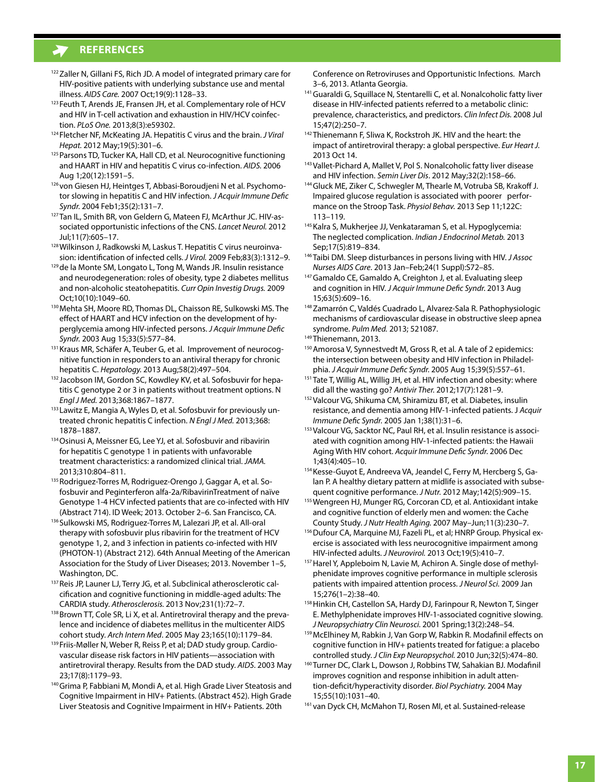- <sup>122</sup> Zaller N, Gillani FS, Rich JD. A model of integrated primary care for HIV-positive patients with underlying substance use and mental illness. *AIDS Care.* 2007 Oct;19(9):1128–33.
- 123 Feuth T, Arends JE, Fransen JH, et al. Complementary role of HCV and HIV in T-cell activation and exhaustion in HIV/HCV coinfection. *PLoS One.* 2013;8(3):e59302.
- <sup>124</sup> Fletcher NF, McKeating JA. Hepatitis C virus and the brain. *J Viral Hepat.* 2012 May;19(5):301–6.
- <sup>125</sup> Parsons TD, Tucker KA, Hall CD, et al. Neurocognitive functioning and HAART in HIV and hepatitis C virus co-infection. *AIDS.* 2006 Aug 1;20(12):1591–5.
- <sup>126</sup> von Giesen HJ, Heintges T, Abbasi-Boroudjeni N et al. Psychomotor slowing in hepatitis C and HIV infection. *J Acquir Immune Defic Syndr.* 2004 Feb1;35(2):131–7.
- 127 Tan IL, Smith BR, von Geldern G, Mateen FJ, McArthur JC. HIV-associated opportunistic infections of the CNS. *Lancet Neurol.* 2012 Jul;11(7):605–17.
- <sup>128</sup> Wilkinson J, Radkowski M, Laskus T. Hepatitis C virus neuroinva-
- sion: identification of infected cells. *J Virol*. 2009 Feb;83(3):1312–9.<br><sup>129</sup> de la Monte SM, Longato L, Tong M, Wands JR. Insulin resistance and neurodegeneration: roles of obesity, type 2 diabetes mellitus and non-alcoholic steatohepatitis. *Curr Opin Investig Drugs.* 2009 Oct;10(10):1049–60.
- <sup>130</sup> Mehta SH, Moore RD, Thomas DL, Chaisson RE, Sulkowski MS. The effect of HAART and HCV infection on the development of hyperglycemia among HIV-infected persons. *J Acquir Immune Defic Syndr.* 2003 Aug 15;33(5):577–84.
- 131 Kraus MR, Schäfer A, Teuber G, et al. Improvement of neurocognitive function in responders to an antiviral therapy for chronic hepatitis C. *Hepatology.* 2013 Aug;58(2):497–504.
- 132 Jacobson IM, Gordon SC, Kowdley KV, et al. Sofosbuvir for hepatitis C genotype 2 or 3 in patients without treatment options. N *Engl J Med.* 2013;368:1867–1877.
- 133 Lawitz E, Mangia A, Wyles D, et al. Sofosbuvir for previously untreated chronic hepatitis C infection. *N Engl J Med.* 2013;368: 1878–1887.
- <sup>134</sup> Osinusi A, Meissner EG, Lee YJ, et al. Sofosbuvir and ribavirin for hepatitis C genotype 1 in patients with unfavorable treatment characteristics: a randomized clinical trial. *JAMA.* 2013;310:804–811.
- 135 Rodriguez-Torres M, Rodriguez-Orengo J, Gaggar A, et al. Sofosbuvir and Peginterferon alfa-2a/RibavirinTreatment of naïve Genotype 1-4 HCV infected patients that are co-infected with HIV (Abstract 714). ID Week; 2013. October 2–6. San Francisco, CA.
- <sup>136</sup> Sulkowski MS, Rodriguez-Torres M, Lalezari JP, et al. All-oral therapy with sofosbuvir plus ribavirin for the treatment of HCV genotype 1, 2, and 3 infection in patients co-infected with HIV (PHOTON-1) (Abstract 212). 64th Annual Meeting of the American Association for the Study of Liver Diseases; 2013. November 1–5, Washington, DC.<br><sup>137</sup>Reis JP, Launer LJ, Terry JG, et al. Subclinical atherosclerotic cal-
- cification and cognitive functioning in middle-aged adults: The CARDIA study. *Atherosclerosis.* 2013 Nov;231(1):72–7.
- 138 Brown TT, Cole SR, Li X, et al. Antiretroviral therapy and the prevalence and incidence of diabetes mellitus in the multicenter AIDS cohort study. *Arch Intern Med*. 2005 May 23;165(10):1179–84.
- <sup>139</sup> Friis-Møller N, Weber R, Reiss P, et al; DAD study group. Cardiovascular disease risk factors in HIV patients—association with antiretroviral therapy. Results from the DAD study. *AIDS*. 2003 May 23;17(8):1179–93.
- <sup>140</sup> Grima P, Fabbiani M, Mondi A, et al. High Grade Liver Steatosis and Cognitive Impairment in HIV+ Patients. (Abstract 452). High Grade Liver Steatosis and Cognitive Impairment in HIV+ Patients. 20th

Conference on Retroviruses and Opportunistic Infections. March 3–6, 2013. Atlanta Georgia.

- 141 Guaraldi G, Squillace N, Stentarelli C, et al. Nonalcoholic fatty liver disease in HIV-infected patients referred to a metabolic clinic: prevalence, characteristics, and predictors. *Clin Infect Dis.* 2008 Jul 15;47(2):250–7.
- <sup>142</sup> Thienemann F, Sliwa K, Rockstroh JK. HIV and the heart: the impact of antiretroviral therapy: a global perspective. *Eur Heart J.* 2013 Oct 14.
- 143 Vallet-Pichard A, Mallet V, Pol S. Nonalcoholic fatty liver disease and HIV infection. *Semin Liver Dis*. 2012 May;32(2):158–66.
- <sup>144</sup> Gluck ME, Ziker C, Schwegler M, Thearle M, Votruba SB, Krakoff J. Impaired glucose regulation is associated with poorer performance on the Stroop Task. *Physiol Behav.* 2013 Sep 11;122C: 113–119.
- <sup>145</sup> Kalra S, Mukherjee JJ, Venkataraman S, et al. Hypoglycemia: The neglected complication. *Indian J Endocrinol Metab.* 2013 Sep;17(5):819–834.
- <sup>146</sup> Taibi DM. Sleep disturbances in persons living with HIV. *J Assoc Nurses AIDS Care*. 2013 Jan–Feb;24(1 Suppl):S72–85.
- 147 Gamaldo CE, Gamaldo A, Creighton J, et al. Evaluating sleep and cognition in HIV. *J Acquir Immune Defic Syndr.* 2013 Aug
- 15;63(5):609–16. 148 Zamarrón C, Valdés Cuadrado L, Alvarez-Sala R. Pathophysiologic mechanisms of cardiovascular disease in obstructive sleep apnea syndrome. *Pulm Med.* 2013; 521087.
- <sup>149</sup> Thienemann, 2013.
- 150 Amorosa V, Synnestvedt M, Gross R, et al. A tale of 2 epidemics: the intersection between obesity and HIV infection in Philadelphia. *J Acquir Immune Defic Syndr.* 2005 Aug 15;39(5):557–61.
- <sup>151</sup> Tate T, Willig AL, Willig JH, et al. HIV infection and obesity: where did all the wasting go? *Antivir Ther.* 2012;17(7):1281–9.
- 152 Valcour VG, Shikuma CM, Shiramizu BT, et al. Diabetes, insulin resistance, and dementia among HIV-1-infected patients. J *Acquir Immune Defic Syndr.* 2005 Jan 1;38(1):31–6.
- 153 Valcour VG, Sacktor NC, Paul RH, et al. Insulin resistance is associated with cognition among HIV-1-infected patients: the Hawaii Aging With HIV cohort. *Acquir Immune Defic Syndr.* 2006 Dec 1;43(4):405–10.
- 154 Kesse-Guyot E, Andreeva VA, Jeandel C, Ferry M, Hercberg S, Galan P. A healthy dietary pattern at midlife is associated with subsequent cognitive performance. *J Nutr.* 2012 May;142(5):909–15.
- 155 Wengreen HJ, Munger RG, Corcoran CD, et al. Antioxidant intake and cognitive function of elderly men and women: the Cache County Study. *J Nutr Health Aging.* 2007 May–Jun;11(3):230–7.
- 156 Dufour CA, Marquine MJ, Fazeli PL, et al; HNRP Group. Physical exercise is associated with less neurocognitive impairment among HIV-infected adults. *J Neurovirol.* 2013 Oct;19(5):410–7.
- 157 Harel Y, Appleboim N, Lavie M, Achiron A. Single dose of methylphenidate improves cognitive performance in multiple sclerosis patients with impaired attention process. *J Neurol Sci.* 2009 Jan
- 15;276(1–2):38–40.<br><sup>158</sup> Hinkin CH, Castellon SA, Hardy DJ, Farinpour R, Newton T, Singer E. Methylphenidate improves HIV-1-associated cognitive slowing. *J Neuropsychiatry Clin Neurosci.* 2001 Spring;13(2):248–54.
- 159 McElhiney M, Rabkin J, Van Gorp W, Rabkin R. Modafinil effects on cognitive function in HIV+ patients treated for fatigue: a placebo controlled study. *J Clin Exp Neuropsychol.* 2010 Jun;32(5):474–80.
- <sup>160</sup>Turner DC, Clark L, Dowson J, Robbins TW, Sahakian BJ. Modafinil improves cognition and response inhibition in adult attention-deficit/hyperactivity disorder. *Biol Psychiatry.* 2004 May 15;55(10):1031–40.
- <sup>161</sup> van Dyck CH, McMahon TJ, Rosen MI, et al. Sustained-release